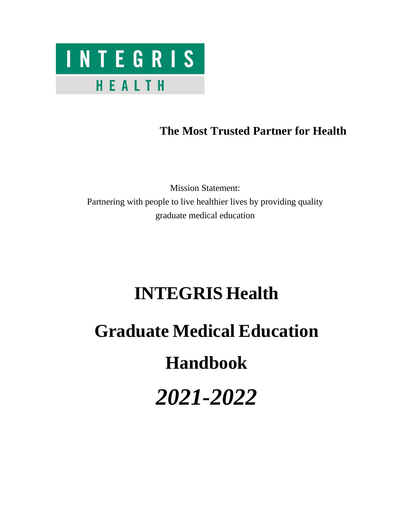

## **The Most Trusted Partner for Health**

Mission Statement: Partnering with people to live healthier lives by providing quality graduate medical education

## **INTEGRIS Health**

# **Graduate Medical Education**

# **Handbook**

*2021-2022*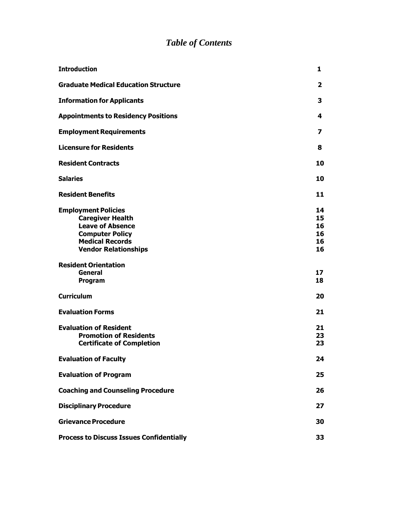## *Table of Contents*

| <b>Introduction</b>                                                                                                                                                 | 1                                |
|---------------------------------------------------------------------------------------------------------------------------------------------------------------------|----------------------------------|
| <b>Graduate Medical Education Structure</b>                                                                                                                         | 2                                |
| <b>Information for Applicants</b>                                                                                                                                   | 3                                |
| <b>Appointments to Residency Positions</b>                                                                                                                          | 4                                |
| <b>Employment Requirements</b>                                                                                                                                      | 7                                |
| <b>Licensure for Residents</b>                                                                                                                                      | 8                                |
| <b>Resident Contracts</b>                                                                                                                                           | 10                               |
| <b>Salaries</b>                                                                                                                                                     | 10                               |
| <b>Resident Benefits</b>                                                                                                                                            | 11                               |
| <b>Employment Policies</b><br><b>Caregiver Health</b><br><b>Leave of Absence</b><br><b>Computer Policy</b><br><b>Medical Records</b><br><b>Vendor Relationships</b> | 14<br>15<br>16<br>16<br>16<br>16 |
| <b>Resident Orientation</b><br>General<br>Program                                                                                                                   | 17<br>18                         |
| <b>Curriculum</b>                                                                                                                                                   | 20                               |
| <b>Evaluation Forms</b>                                                                                                                                             | 21                               |
| <b>Evaluation of Resident</b><br><b>Promotion of Residents</b><br><b>Certificate of Completion</b>                                                                  | 21<br>23<br>23                   |
| <b>Evaluation of Faculty</b>                                                                                                                                        | 24                               |
| <b>Evaluation of Program</b>                                                                                                                                        | 25                               |
| <b>Coaching and Counseling Procedure</b>                                                                                                                            | 26                               |
| <b>Disciplinary Procedure</b>                                                                                                                                       | 27                               |
| <b>Grievance Procedure</b>                                                                                                                                          | 30                               |
| <b>Process to Discuss Issues Confidentially</b>                                                                                                                     | 33                               |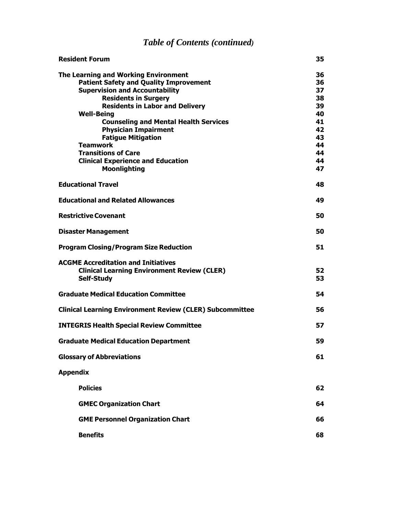## *Table of Contents (continued)*

| <b>Resident Forum</b>                                           | 35 |
|-----------------------------------------------------------------|----|
| <b>The Learning and Working Environment</b>                     | 36 |
| <b>Patient Safety and Quality Improvement</b>                   | 36 |
| <b>Supervision and Accountability</b>                           | 37 |
| <b>Residents in Surgery</b>                                     | 38 |
| <b>Residents in Labor and Delivery</b>                          | 39 |
| <b>Well-Being</b>                                               | 40 |
| <b>Counseling and Mental Health Services</b>                    | 41 |
| <b>Physician Impairment</b>                                     | 42 |
| <b>Fatigue Mitigation</b>                                       | 43 |
| <b>Teamwork</b>                                                 | 44 |
| <b>Transitions of Care</b>                                      | 44 |
| <b>Clinical Experience and Education</b>                        | 44 |
| <b>Moonlighting</b>                                             | 47 |
| <b>Educational Travel</b>                                       | 48 |
| <b>Educational and Related Allowances</b>                       | 49 |
| <b>Restrictive Covenant</b>                                     | 50 |
| <b>Disaster Management</b>                                      | 50 |
| <b>Program Closing/Program Size Reduction</b>                   | 51 |
|                                                                 |    |
| <b>ACGME Accreditation and Initiatives</b>                      |    |
| <b>Clinical Learning Environment Review (CLER)</b>              | 52 |
| <b>Self-Study</b>                                               | 53 |
| <b>Graduate Medical Education Committee</b>                     | 54 |
| <b>Clinical Learning Environment Review (CLER) Subcommittee</b> | 56 |
| <b>INTEGRIS Health Special Review Committee</b>                 | 57 |
| <b>Graduate Medical Education Department</b>                    | 59 |
| <b>Glossary of Abbreviations</b>                                | 61 |
| <b>Appendix</b>                                                 |    |
| <b>Policies</b>                                                 | 62 |
| <b>GMEC Organization Chart</b>                                  | 64 |
| <b>GME Personnel Organization Chart</b>                         | 66 |
| <b>Benefits</b>                                                 | 68 |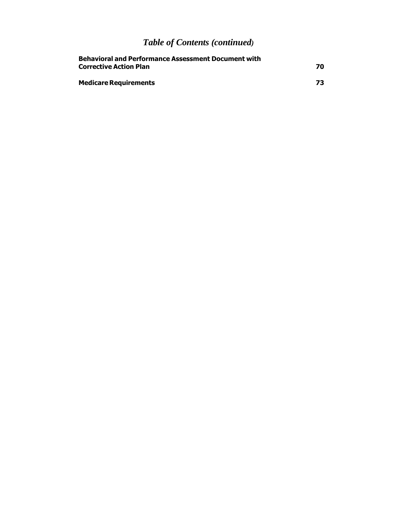## *Table of Contents (continued)*

| <b>Behavioral and Performance Assessment Document with</b><br><b>Corrective Action Plan</b> |    |
|---------------------------------------------------------------------------------------------|----|
| <b>Medicare Requirements</b>                                                                | 73 |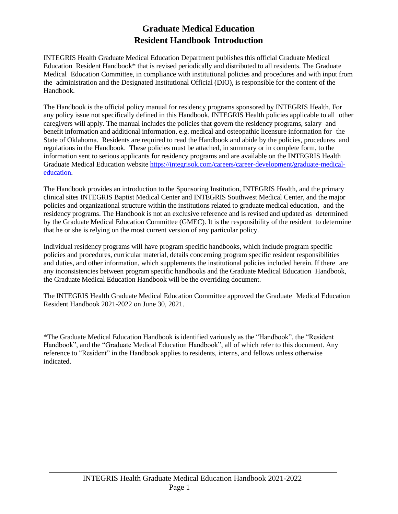## **Graduate Medical Education Resident Handbook Introduction**

INTEGRIS Health Graduate Medical Education Department publishes this official Graduate Medical Education Resident Handbook\* that is revised periodically and distributed to all residents. The Graduate Medical Education Committee, in compliance with institutional policies and procedures and with input from the administration and the Designated Institutional Official (DIO), is responsible for the content of the Handbook.

The Handbook is the official policy manual for residency programs sponsored by INTEGRIS Health. For any policy issue not specifically defined in this Handbook, INTEGRIS Health policies applicable to all other caregivers will apply. The manual includes the policies that govern the residency programs, salary and benefit information and additional information, e.g. medical and osteopathic licensure information for the State of Oklahoma. Residents are required to read the Handbook and abide by the policies, procedures and regulations in the Handbook. These policies must be attached, in summary or in complete form, to the information sent to serious applicants for residency programs and are available on the INTEGRIS Health Graduate Medical Education website [https://integrisok.com/careers/career-development/graduate-medical](https://integrisok.com/careers/career-development/graduate-medical-education)[education.](https://integrisok.com/careers/career-development/graduate-medical-education)

The Handbook provides an introduction to the Sponsoring Institution, INTEGRIS Health, and the primary clinical sites INTEGRIS Baptist Medical Center and INTEGRIS Southwest Medical Center, and the major policies and organizational structure within the institutions related to graduate medical education, and the residency programs. The Handbook is not an exclusive reference and is revised and updated as determined by the Graduate Medical Education Committee (GMEC). It is the responsibility of the resident to determine that he or she is relying on the most current version of any particular policy.

Individual residency programs will have program specific handbooks, which include program specific policies and procedures, curricular material, details concerning program specific resident responsibilities and duties, and other information, which supplements the institutional policies included herein. If there are any inconsistencies between program specific handbooks and the Graduate Medical Education Handbook, the Graduate Medical Education Handbook will be the overriding document.

The INTEGRIS Health Graduate Medical Education Committee approved the Graduate Medical Education Resident Handbook 2021-2022 on June 30, 2021.

\*The Graduate Medical Education Handbook is identified variously as the "Handbook", the "Resident Handbook", and the "Graduate Medical Education Handbook", all of which refer to this document. Any reference to "Resident" in the Handbook applies to residents, interns, and fellows unless otherwise indicated.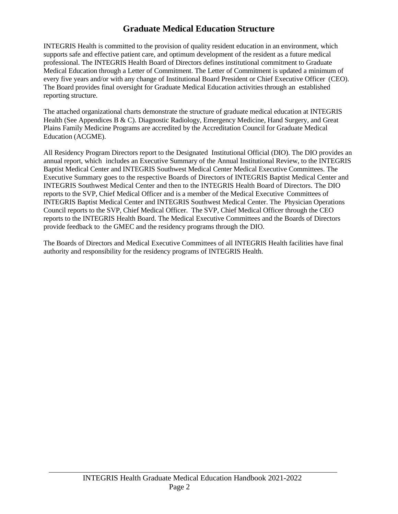## **Graduate Medical Education Structure**

<span id="page-5-0"></span>INTEGRIS Health is committed to the provision of quality resident education in an environment, which supports safe and effective patient care, and optimum development of the resident as a future medical professional. The INTEGRIS Health Board of Directors defines institutional commitment to Graduate Medical Education through a Letter of Commitment. The Letter of Commitment is updated a minimum of every five years and/or with any change of Institutional Board President or Chief Executive Officer (CEO). The Board provides final oversight for Graduate Medical Education activities through an established reporting structure.

The attached organizational charts demonstrate the structure of graduate medical education at INTEGRIS Health (See Appendices B & C). Diagnostic Radiology, Emergency Medicine, Hand Surgery, and Great Plains Family Medicine Programs are accredited by the Accreditation Council for Graduate Medical Education (ACGME).

All Residency Program Directors report to the Designated Institutional Official (DIO). The DIO provides an annual report, which includes an Executive Summary of the Annual Institutional Review, to the INTEGRIS Baptist Medical Center and INTEGRIS Southwest Medical Center Medical Executive Committees. The Executive Summary goes to the respective Boards of Directors of INTEGRIS Baptist Medical Center and INTEGRIS Southwest Medical Center and then to the INTEGRIS Health Board of Directors. The DIO reports to the SVP, Chief Medical Officer and is a member of the Medical Executive Committees of INTEGRIS Baptist Medical Center and INTEGRIS Southwest Medical Center. The Physician Operations Council reports to the SVP, Chief Medical Officer. The SVP, Chief Medical Officer through the CEO reports to the INTEGRIS Health Board. The Medical Executive Committees and the Boards of Directors provide feedback to the GMEC and the residency programs through the DIO.

The Boards of Directors and Medical Executive Committees of all INTEGRIS Health facilities have final authority and responsibility for the residency programs of INTEGRIS Health.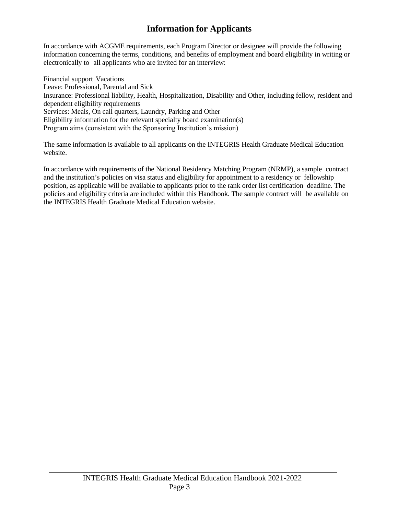## **Information for Applicants**

<span id="page-6-0"></span>In accordance with ACGME requirements, each Program Director or designee will provide the following information concerning the terms, conditions, and benefits of employment and board eligibility in writing or electronically to all applicants who are invited for an interview:

Financial support Vacations Leave: Professional, Parental and Sick Insurance: Professional liability, Health, Hospitalization, Disability and Other, including fellow, resident and dependent eligibility requirements Services: Meals, On call quarters, Laundry, Parking and Other Eligibility information for the relevant specialty board examination(s) Program aims (consistent with the Sponsoring Institution's mission)

The same information is available to all applicants on the INTEGRIS Health Graduate Medical Education website.

In accordance with requirements of the National Residency Matching Program (NRMP), a sample contract and the institution's policies on visa status and eligibility for appointment to a residency or fellowship position, as applicable will be available to applicants prior to the rank order list certification deadline. The policies and eligibility criteria are included within this Handbook. The sample contract will be available on the INTEGRIS Health Graduate Medical Education website.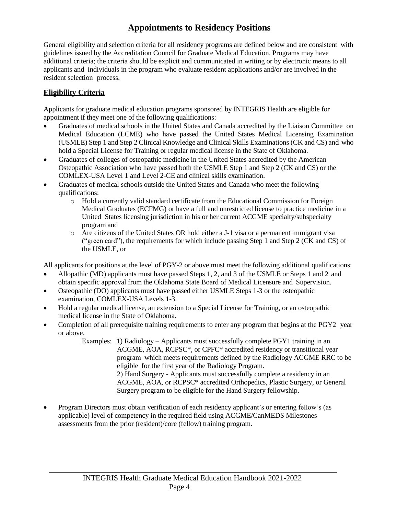## **Appointments to Residency Positions**

<span id="page-7-0"></span>General eligibility and selection criteria for all residency programs are defined below and are consistent with guidelines issued by the Accreditation Council for Graduate Medical Education. Programs may have additional criteria; the criteria should be explicit and communicated in writing or by electronic means to all applicants and individuals in the program who evaluate resident applications and/or are involved in the resident selection process.

#### **Eligibility Criteria**

Applicants for graduate medical education programs sponsored by INTEGRIS Health are eligible for appointment if they meet one of the following qualifications:

- Graduates of medical schools in the United States and Canada accredited by the Liaison Committee on Medical Education (LCME) who have passed the United States Medical Licensing Examination (USMLE) Step 1 and Step 2 Clinical Knowledge and Clinical Skills Examinations (CK and CS) and who hold a Special License for Training or regular medical license in the State of Oklahoma.
- Graduates of colleges of osteopathic medicine in the United States accredited by the American Osteopathic Association who have passed both the USMLE Step 1 and Step 2 (CK and CS) or the COMLEX-USA Level 1 and Level 2-CE and clinical skills examination.
- Graduates of medical schools outside the United States and Canada who meet the following qualifications:
	- o Hold a currently valid standard certificate from the Educational Commission for Foreign Medical Graduates (ECFMG) or have a full and unrestricted license to practice medicine in a United States licensing jurisdiction in his or her current ACGME specialty/subspecialty program and
	- o Are citizens of the United States OR hold either a J-1 visa or a permanent immigrant visa ("green card"), the requirements for which include passing Step 1 and Step 2 (CK and CS) of the USMLE, or

All applicants for positions at the level of PGY-2 or above must meet the following additional qualifications:

- Allopathic (MD) applicants must have passed Steps 1, 2, and 3 of the USMLE or Steps 1 and 2 and obtain specific approval from the Oklahoma State Board of Medical Licensure and Supervision.
- Osteopathic (DO) applicants must have passed either USMLE Steps 1-3 or the osteopathic examination, COMLEX-USA Levels 1-3.
- Hold a regular medical license, an extension to a Special License for Training, or an osteopathic medical license in the State of Oklahoma.
- Completion of all prerequisite training requirements to enter any program that begins at the PGY2 year or above.
	- Examples: 1) Radiology Applicants must successfully complete PGY1 training in an ACGME, AOA, RCPSC\*, or CPFC\* accredited residency or transitional year program which meets requirements defined by the Radiology ACGME RRC to be eligible for the first year of the Radiology Program. 2) Hand Surgery - Applicants must successfully complete a residency in an ACGME, AOA, or RCPSC\* accredited Orthopedics, Plastic Surgery, or General Surgery program to be eligible for the Hand Surgery fellowship.
- Program Directors must obtain verification of each residency applicant's or entering fellow's (as applicable) level of competency in the required field using ACGME/CanMEDS Milestones assessments from the prior (resident)/core (fellow) training program.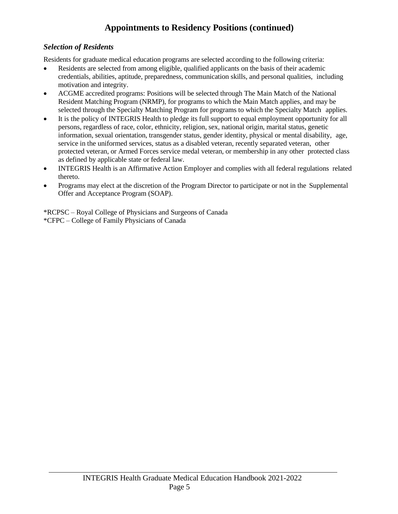## **Appointments to Residency Positions (continued)**

#### *Selection of Residents*

Residents for graduate medical education programs are selected according to the following criteria:

- Residents are selected from among eligible, qualified applicants on the basis of their academic credentials, abilities, aptitude, preparedness, communication skills, and personal qualities, including motivation and integrity.
- ACGME accredited programs: Positions will be selected through The Main Match of the National Resident Matching Program (NRMP), for programs to which the Main Match applies, and may be selected through the Specialty Matching Program for programs to which the Specialty Match applies.
- It is the policy of INTEGRIS Health to pledge its full support to equal employment opportunity for all persons, regardless of race, color, ethnicity, religion, sex, national origin, marital status, genetic information, sexual orientation, transgender status, gender identity, physical or mental disability, age, service in the uniformed services, status as a disabled veteran, recently separated veteran, other protected veteran, or Armed Forces service medal veteran, or membership in any other protected class as defined by applicable state or federal law.
- INTEGRIS Health is an Affirmative Action Employer and complies with all federal regulations related thereto.
- Programs may elect at the discretion of the Program Director to participate or not in the Supplemental Offer and Acceptance Program (SOAP).

\*RCPSC – Royal College of Physicians and Surgeons of Canada \*CFPC – College of Family Physicians of Canada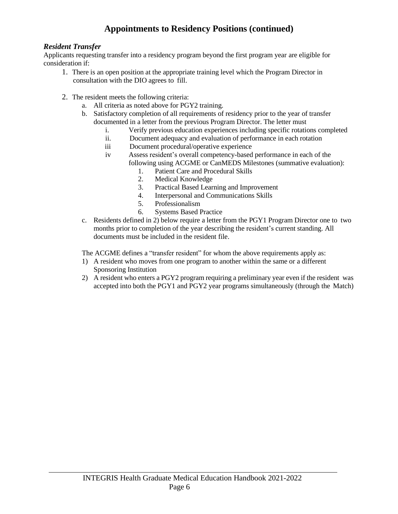## **Appointments to Residency Positions (continued)**

#### *Resident Transfer*

Applicants requesting transfer into a residency program beyond the first program year are eligible for consideration if:

- 1. There is an open position at the appropriate training level which the Program Director in consultation with the DIO agrees to fill.
- 2. The resident meets the following criteria:
	- a. All criteria as noted above for PGY2 training.
	- b. Satisfactory completion of all requirements of residency prior to the year of transfer documented in a letter from the previous Program Director. The letter must
		- i. Verify previous education experiences including specific rotations completed
		- ii. Document adequacy and evaluation of performance in each rotation
		- iii Document procedural/operative experience
		- iv Assess resident's overall competency-based performance in each of the following using ACGME or CanMEDS Milestones (summative evaluation):
			- 1. Patient Care and Procedural Skills
			- 2. Medical Knowledge
			- 3. Practical Based Learning and Improvement
			- 4. Interpersonal and Communications Skills
			- 5. Professionalism
			- 6. Systems Based Practice
	- c. Residents defined in 2) below require a letter from the PGY1 Program Director one to two months prior to completion of the year describing the resident's current standing. All documents must be included in the resident file.

The ACGME defines a "transfer resident" for whom the above requirements apply as:

- 1) A resident who moves from one program to another within the same or a different Sponsoring Institution
- 2) A resident who enters a PGY2 program requiring a preliminary year even if the resident was accepted into both the PGY1 and PGY2 year programs simultaneously (through the Match)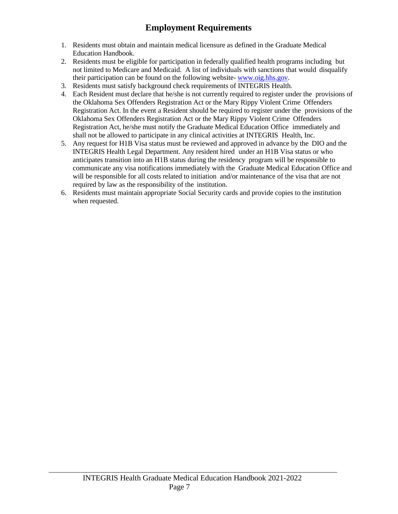## **Employment Requirements**

- <span id="page-10-0"></span>1. Residents must obtain and maintain medical licensure as defined in the Graduate Medical Education Handbook.
- 2. Residents must be eligible for participation in federally qualified health programs including but not limited to Medicare and Medicaid. A list of individuals with sanctions that would disqualify their participation can be found on the following website- [www.oig.hhs.gov.](https://oig.hhs.gov/exclusions/exclusions_list.asp)
- 3. Residents must satisfy background check requirements of INTEGRIS Health.
- 4. Each Resident must declare that he/she is not currently required to register under the provisions of the Oklahoma Sex Offenders Registration Act or the Mary Rippy Violent Crime Offenders Registration Act. In the event a Resident should be required to register under the provisions of the Oklahoma Sex Offenders Registration Act or the Mary Rippy Violent Crime Offenders Registration Act, he/she must notify the Graduate Medical Education Office immediately and shall not be allowed to participate in any clinical activities at INTEGRIS Health, Inc.
- 5. Any request for H1B Visa status must be reviewed and approved in advance by the DIO and the INTEGRIS Health Legal Department. Any resident hired under an H1B Visa status or who anticipates transition into an H1B status during the residency program will be responsible to communicate any visa notifications immediately with the Graduate Medical Education Office and will be responsible for all costs related to initiation and/or maintenance of the visa that are not required by law as the responsibility of the institution.
- 6. Residents must maintain appropriate Social Security cards and provide copies to the institution when requested.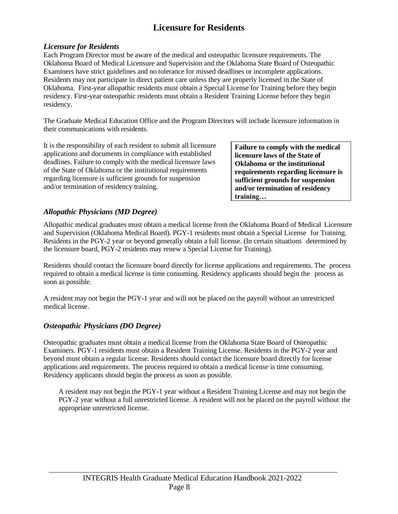## **Licensure for Residents**

#### <span id="page-11-0"></span>*Licensure for Residents*

Each Program Director must be aware of the medical and osteopathic licensure requirements. The Oklahoma Board of Medical Licensure and Supervision and the Oklahoma State Board of Osteopathic Examiners have strict guidelines and no tolerance for missed deadlines or incomplete applications. Residents may not participate in direct patient care unless they are properly licensed in the State of Oklahoma. First-year allopathic residents must obtain a Special License for Training before they begin residency. First-year osteopathic residents must obtain a Resident Training License before they begin residency.

The Graduate Medical Education Office and the Program Directors will include licensure information in their communications with residents.

It is the responsibility of each resident to submit all licensure applications and documents in compliance with established deadlines. Failure to comply with the medical licensure laws of the State of Oklahoma or the institutional requirements regarding licensure is sufficient grounds for suspension and/or termination of residency training.

**Failure to comply with the medical licensure laws of the State of Oklahoma or the institutional requirements regarding licensure is sufficient grounds for suspension and/or termination of residency training…**

#### *Allopathic Physicians (MD Degree)*

Allopathic medical graduates must obtain a medical license from the Oklahoma Board of Medical Licensure and Supervision (Oklahoma Medical Board). PGY-1 residents must obtain a Special License for Training. Residents in the PGY-2 year or beyond generally obtain a full license. (In certain situations determined by the licensure board, PGY-2 residents may renew a Special License for Training).

Residents should contact the licensure board directly for license applications and requirements. The process required to obtain a medical license is time consuming. Residency applicants should begin the process as soon as possible.

A resident may not begin the PGY-1 year and will not be placed on the payroll without an unrestricted medical license.

#### *Osteopathic Physicians (DO Degree)*

Osteopathic graduates must obtain a medical license from the Oklahoma State Board of Osteopathic Examiners. PGY-1 residents must obtain a Resident Training License. Residents in the PGY-2 year and beyond must obtain a regular license. Residents should contact the licensure board directly for license applications and requirements. The process required to obtain a medical license is time consuming. Residency applicants should begin the process as soon as possible.

A resident may not begin the PGY-1 year without a Resident Training License and may not begin the PGY-2 year without a full unrestricted license. A resident will not be placed on the payroll without the appropriate unrestricted license.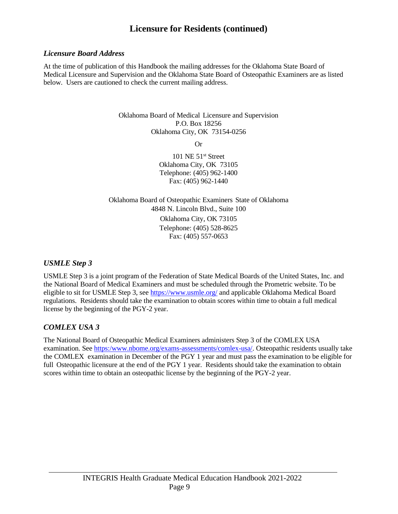## **Licensure for Residents (continued)**

#### *Licensure Board Address*

At the time of publication of this Handbook the mailing addresses for the Oklahoma State Board of Medical Licensure and Supervision and the Oklahoma State Board of Osteopathic Examiners are as listed below. Users are cautioned to check the current mailing address.

> Oklahoma Board of Medical Licensure and Supervision P.O. Box 18256 Oklahoma City, OK 73154-0256

> > Or

101 NE 51<sup>st</sup> Street Oklahoma City, OK 73105 Telephone: (405) 962-1400 Fax: (405) 962-1440

Oklahoma Board of Osteopathic Examiners State of Oklahoma 4848 N. Lincoln Blvd., Suite 100 Oklahoma City, OK 73105 Telephone: (405) 528-8625 Fax: (405) 557-0653

#### *USMLE Step 3*

USMLE Step 3 is a joint program of the Federation of State Medical Boards of the United States, Inc. and the National Board of Medical Examiners and must be scheduled through the Prometric website. To be eligible to sit for USMLE Step 3, see <https://www.usmle.org/> and applicable Oklahoma Medical Board regulations. Residents should take the examination to obtain scores within time to obtain a full medical license by the beginning of the PGY-2 year.

## *COMLEX USA 3*

The National Board of Osteopathic Medical Examiners administers Step 3 of the COMLEX USA examination. See [https:/www.nbome.org/exams-assessments/comlex-usa/.](https://www.nbome.org/exams-assessments/comlex-usa/) Osteopathic residents usually take the COMLEX examination in December of the PGY 1 year and must pass the examination to be eligible for full Osteopathic licensure at the end of the PGY 1 year. Residents should take the examination to obtain scores within time to obtain an osteopathic license by the beginning of the PGY-2 year.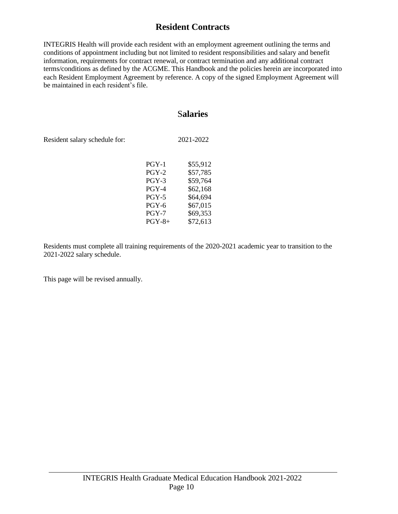## **Resident Contracts**

<span id="page-13-0"></span>INTEGRIS Health will provide each resident with an employment agreement outlining the terms and conditions of appointment including but not limited to resident responsibilities and salary and benefit information, requirements for contract renewal, or contract termination and any additional contract terms/conditions as defined by the ACGME. This Handbook and the policies herein are incorporated into each Resident Employment Agreement by reference. A copy of the signed Employment Agreement will be maintained in each resident's file.

#### S**alaries**

<span id="page-13-1"></span>Resident salary schedule for: 2021-2022

| $PGY-1$      | \$55,912 |
|--------------|----------|
| $PGY-2$      | \$57,785 |
| PGY-3        | \$59,764 |
| $PGY-4$      | \$62.168 |
| <b>PGY-5</b> | \$64,694 |
| <b>PGY-6</b> | \$67,015 |
| $PGY-7$      | \$69,353 |
| $PGY-8+$     | \$72,613 |
|              |          |

Residents must complete all training requirements of the 2020-2021 academic year to transition to the 2021-2022 salary schedule.

This page will be revised annually.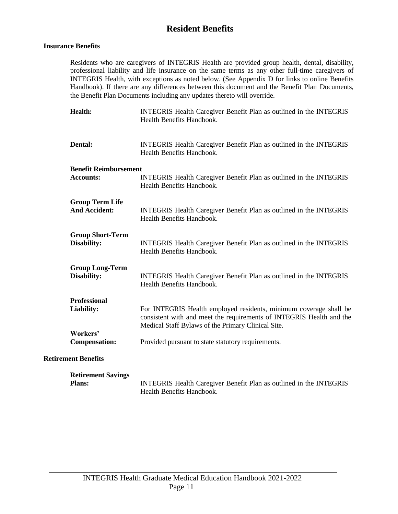## **Resident Benefits**

#### <span id="page-14-0"></span>**Insurance Benefits**

Residents who are caregivers of INTEGRIS Health are provided group health, dental, disability, professional liability and life insurance on the same terms as any other full-time caregivers of INTEGRIS Health, with exceptions as noted below. (See Appendix D for links to online Benefits Handbook). If there are any differences between this document and the Benefit Plan Documents, the Benefit Plan Documents including any updates thereto will override.

| Health:                                          | INTEGRIS Health Caregiver Benefit Plan as outlined in the INTEGRIS<br>Health Benefits Handbook.                                                                                                 |
|--------------------------------------------------|-------------------------------------------------------------------------------------------------------------------------------------------------------------------------------------------------|
| Dental:                                          | INTEGRIS Health Caregiver Benefit Plan as outlined in the INTEGRIS<br>Health Benefits Handbook.                                                                                                 |
| <b>Benefit Reimbursement</b><br><b>Accounts:</b> | INTEGRIS Health Caregiver Benefit Plan as outlined in the INTEGRIS<br>Health Benefits Handbook.                                                                                                 |
| <b>Group Term Life</b><br><b>And Accident:</b>   | INTEGRIS Health Caregiver Benefit Plan as outlined in the INTEGRIS<br>Health Benefits Handbook.                                                                                                 |
| <b>Group Short-Term</b><br>Disability:           | INTEGRIS Health Caregiver Benefit Plan as outlined in the INTEGRIS<br>Health Benefits Handbook.                                                                                                 |
| <b>Group Long-Term</b><br>Disability:            | INTEGRIS Health Caregiver Benefit Plan as outlined in the INTEGRIS<br>Health Benefits Handbook.                                                                                                 |
| <b>Professional</b><br>Liability:                | For INTEGRIS Health employed residents, minimum coverage shall be<br>consistent with and meet the requirements of INTEGRIS Health and the<br>Medical Staff Bylaws of the Primary Clinical Site. |
| Workers'<br><b>Compensation:</b>                 | Provided pursuant to state statutory requirements.                                                                                                                                              |
| <b>Retirement Benefits</b>                       |                                                                                                                                                                                                 |
| Dotiromont Covings                               |                                                                                                                                                                                                 |

| <b>Retirement Savings</b> |                                                                    |
|---------------------------|--------------------------------------------------------------------|
| <b>Plans:</b>             | INTEGRIS Health Caregiver Benefit Plan as outlined in the INTEGRIS |
|                           | Health Benefits Handbook.                                          |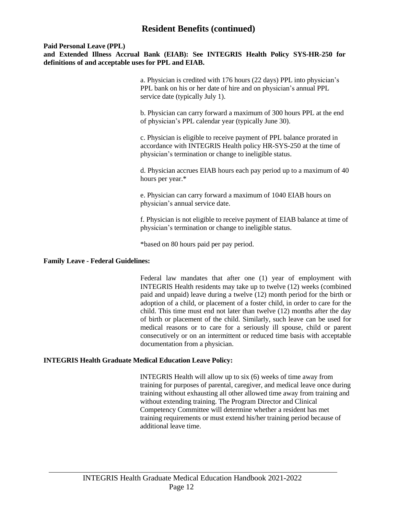## **Resident Benefits (continued)**

#### **Paid Personal Leave (PPL)**

**and Extended Illness Accrual Bank (EIAB): See INTEGRIS Health Policy SYS-HR-250 for definitions of and acceptable uses for PPL and EIAB.**

> a. Physician is credited with 176 hours (22 days) PPL into physician's PPL bank on his or her date of hire and on physician's annual PPL service date (typically July 1).

b. Physician can carry forward a maximum of 300 hours PPL at the end of physician's PPL calendar year (typically June 30).

c. Physician is eligible to receive payment of PPL balance prorated in accordance with INTEGRIS Health policy HR-SYS-250 at the time of physician's termination or change to ineligible status.

d. Physician accrues EIAB hours each pay period up to a maximum of 40 hours per year.\*

e. Physician can carry forward a maximum of 1040 EIAB hours on physician's annual service date.

f. Physician is not eligible to receive payment of EIAB balance at time of physician's termination or change to ineligible status.

\*based on 80 hours paid per pay period.

#### **Family Leave - Federal Guidelines:**

Federal law mandates that after one (1) year of employment with INTEGRIS Health residents may take up to twelve (12) weeks (combined paid and unpaid) leave during a twelve (12) month period for the birth or adoption of a child, or placement of a foster child, in order to care for the child. This time must end not later than twelve (12) months after the day of birth or placement of the child. Similarly, such leave can be used for medical reasons or to care for a seriously ill spouse, child or parent consecutively or on an intermittent or reduced time basis with acceptable documentation from a physician.

#### **INTEGRIS Health Graduate Medical Education Leave Policy:**

INTEGRIS Health will allow up to six (6) weeks of time away from training for purposes of parental, caregiver, and medical leave once during training without exhausting all other allowed time away from training and without extending training. The Program Director and Clinical Competency Committee will determine whether a resident has met training requirements or must extend his/her training period because of additional leave time.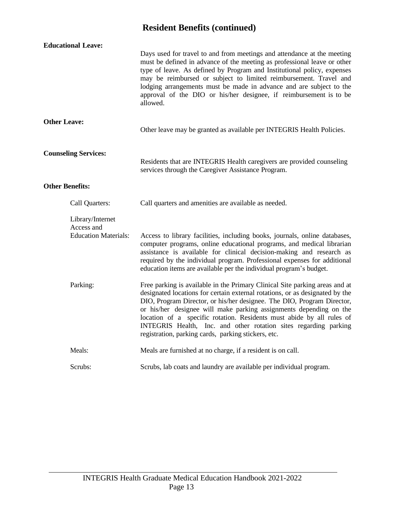## **Resident Benefits (continued)**

| <b>Educational Leave:</b>                                     |                                                                                                                                                                                                                                                                                                                                                                                                                                                                                                                 |  |
|---------------------------------------------------------------|-----------------------------------------------------------------------------------------------------------------------------------------------------------------------------------------------------------------------------------------------------------------------------------------------------------------------------------------------------------------------------------------------------------------------------------------------------------------------------------------------------------------|--|
|                                                               | Days used for travel to and from meetings and attendance at the meeting<br>must be defined in advance of the meeting as professional leave or other<br>type of leave. As defined by Program and Institutional policy, expenses<br>may be reimbursed or subject to limited reimbursement. Travel and<br>lodging arrangements must be made in advance and are subject to the<br>approval of the DIO or his/her designee, if reimbursement is to be<br>allowed.                                                    |  |
| <b>Other Leave:</b>                                           | Other leave may be granted as available per INTEGRIS Health Policies.                                                                                                                                                                                                                                                                                                                                                                                                                                           |  |
| <b>Counseling Services:</b>                                   | Residents that are INTEGRIS Health caregivers are provided counseling<br>services through the Caregiver Assistance Program.                                                                                                                                                                                                                                                                                                                                                                                     |  |
| <b>Other Benefits:</b>                                        |                                                                                                                                                                                                                                                                                                                                                                                                                                                                                                                 |  |
| Call Quarters:                                                | Call quarters and amenities are available as needed.                                                                                                                                                                                                                                                                                                                                                                                                                                                            |  |
| Library/Internet<br>Access and<br><b>Education Materials:</b> | Access to library facilities, including books, journals, online databases,<br>computer programs, online educational programs, and medical librarian<br>assistance is available for clinical decision-making and research as<br>required by the individual program. Professional expenses for additional<br>education items are available per the individual program's budget.                                                                                                                                   |  |
| Parking:                                                      | Free parking is available in the Primary Clinical Site parking areas and at<br>designated locations for certain external rotations, or as designated by the<br>DIO, Program Director, or his/her designee. The DIO, Program Director,<br>or his/her designee will make parking assignments depending on the<br>location of a specific rotation. Residents must abide by all rules of<br>INTEGRIS Health, Inc. and other rotation sites regarding parking<br>registration, parking cards, parking stickers, etc. |  |
| Meals:                                                        | Meals are furnished at no charge, if a resident is on call.                                                                                                                                                                                                                                                                                                                                                                                                                                                     |  |
| Scrubs:                                                       | Scrubs, lab coats and laundry are available per individual program.                                                                                                                                                                                                                                                                                                                                                                                                                                             |  |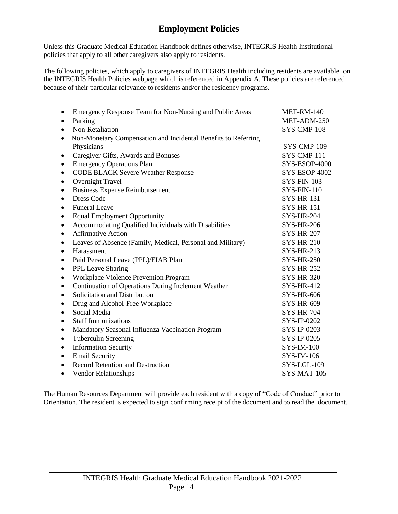## **Employment Policies**

<span id="page-17-0"></span>Unless this Graduate Medical Education Handbook defines otherwise, INTEGRIS Health Institutional policies that apply to all other caregivers also apply to residents.

The following policies, which apply to caregivers of INTEGRIS Health including residents are available on the INTEGRIS Health Policies webpage which is referenced in Appendix A. These policies are referenced because of their particular relevance to residents and/or the residency programs.

| $\bullet$ | Emergency Response Team for Non-Nursing and Public Areas       | MET-RM-140         |
|-----------|----------------------------------------------------------------|--------------------|
| $\bullet$ | Parking                                                        | MET-ADM-250        |
| $\bullet$ | Non-Retaliation                                                | SYS-CMP-108        |
| $\bullet$ | Non-Monetary Compensation and Incidental Benefits to Referring |                    |
|           | Physicians                                                     | SYS-CMP-109        |
| ٠         | Caregiver Gifts, Awards and Bonuses                            | SYS-CMP-111        |
| $\bullet$ | <b>Emergency Operations Plan</b>                               | SYS-ESOP-4000      |
| $\bullet$ | <b>CODE BLACK Severe Weather Response</b>                      | SYS-ESOP-4002      |
| $\bullet$ | Overnight Travel                                               | <b>SYS-FIN-103</b> |
| $\bullet$ | <b>Business Expense Reimbursement</b>                          | $SYS-FIN-110$      |
| $\bullet$ | <b>Dress Code</b>                                              | <b>SYS-HR-131</b>  |
| ٠         | <b>Funeral Leave</b>                                           | <b>SYS-HR-151</b>  |
| $\bullet$ | <b>Equal Employment Opportunity</b>                            | <b>SYS-HR-204</b>  |
| $\bullet$ | Accommodating Qualified Individuals with Disabilities          | <b>SYS-HR-206</b>  |
| $\bullet$ | <b>Affirmative Action</b>                                      | <b>SYS-HR-207</b>  |
| ٠         | Leaves of Absence (Family, Medical, Personal and Military)     | <b>SYS-HR-210</b>  |
| $\bullet$ | Harassment                                                     | <b>SYS-HR-213</b>  |
| $\bullet$ | Paid Personal Leave (PPL)/EIAB Plan                            | <b>SYS-HR-250</b>  |
| ٠         | PPL Leave Sharing                                              | <b>SYS-HR-252</b>  |
| $\bullet$ | Workplace Violence Prevention Program                          | <b>SYS-HR-320</b>  |
| ٠         | Continuation of Operations During Inclement Weather            | <b>SYS-HR-412</b>  |
| $\bullet$ | Solicitation and Distribution                                  | <b>SYS-HR-606</b>  |
| ٠         | Drug and Alcohol-Free Workplace                                | <b>SYS-HR-609</b>  |
| ٠         | Social Media                                                   | <b>SYS-HR-704</b>  |
| $\bullet$ | <b>Staff Immunizations</b>                                     | SYS-IP-0202        |
| ٠         | Mandatory Seasonal Influenza Vaccination Program               | SYS-IP-0203        |
| $\bullet$ | <b>Tuberculin Screening</b>                                    | SYS-IP-0205        |
| ٠         | <b>Information Security</b>                                    | <b>SYS-IM-100</b>  |
| $\bullet$ | <b>Email Security</b>                                          | SYS-IM-106         |
| $\bullet$ | Record Retention and Destruction                               | SYS-LGL-109        |
| ٠         | <b>Vendor Relationships</b>                                    | SYS-MAT-105        |
|           |                                                                |                    |

The Human Resources Department will provide each resident with a copy of "Code of Conduct" prior to Orientation. The resident is expected to sign confirming receipt of the document and to read the document.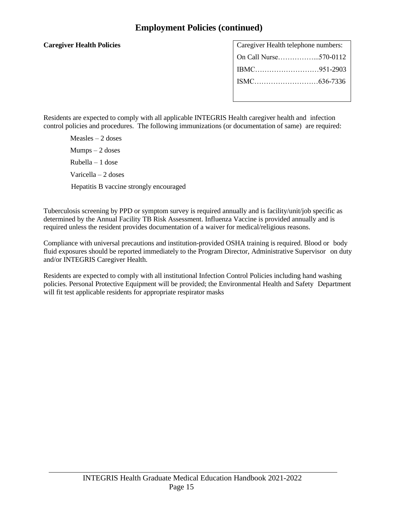## **Employment Policies (continued)**

#### **Caregiver Health Policies**

| Caregiver Health telephone numbers: |  |
|-------------------------------------|--|
| On Call Nurse570-0112               |  |
|                                     |  |
|                                     |  |
|                                     |  |

Residents are expected to comply with all applicable INTEGRIS Health caregiver health and infection control policies and procedures. The following immunizations (or documentation of same) are required:

Measles – 2 doses Mumps – 2 doses Rubella – 1 dose Varicella – 2 doses Hepatitis B vaccine strongly encouraged

Tuberculosis screening by PPD or symptom survey is required annually and is facility/unit/job specific as determined by the Annual Facility TB Risk Assessment. Influenza Vaccine is provided annually and is required unless the resident provides documentation of a waiver for medical/religious reasons.

Compliance with universal precautions and institution-provided OSHA training is required. Blood or body fluid exposures should be reported immediately to the Program Director, Administrative Supervisor on duty and/or INTEGRIS Caregiver Health.

Residents are expected to comply with all institutional Infection Control Policies including hand washing policies. Personal Protective Equipment will be provided; the Environmental Health and Safety Department will fit test applicable residents for appropriate respirator masks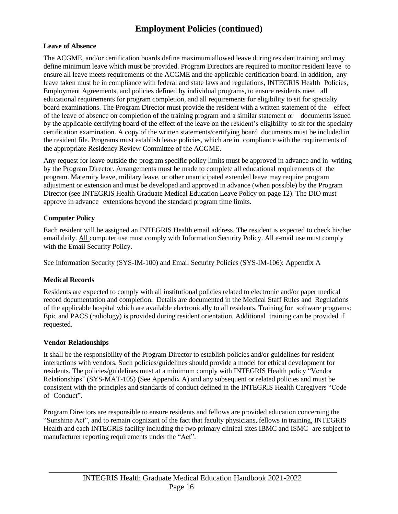## **Employment Policies (continued)**

#### **Leave of Absence**

The ACGME, and/or certification boards define maximum allowed leave during resident training and may define minimum leave which must be provided. Program Directors are required to monitor resident leave to ensure all leave meets requirements of the ACGME and the applicable certification board. In addition, any leave taken must be in compliance with federal and state laws and regulations, INTEGRIS Health Policies, Employment Agreements, and policies defined by individual programs, to ensure residents meet all educational requirements for program completion, and all requirements for eligibility to sit for specialty board examinations. The Program Director must provide the resident with a written statement of the effect of the leave of absence on completion of the training program and a similar statement or documents issued by the applicable certifying board of the effect of the leave on the resident's eligibility to sit for the specialty certification examination. A copy of the written statements/certifying board documents must be included in the resident file. Programs must establish leave policies, which are in compliance with the requirements of the appropriate Residency Review Committee of the ACGME.

Any request for leave outside the program specific policy limits must be approved in advance and in writing by the Program Director. Arrangements must be made to complete all educational requirements of the program. Maternity leave, military leave, or other unanticipated extended leave may require program adjustment or extension and must be developed and approved in advance (when possible) by the Program Director (see INTEGRIS Health Graduate Medical Education Leave Policy on page 12). The DIO must approve in advance extensions beyond the standard program time limits.

#### **Computer Policy**

Each resident will be assigned an INTEGRIS Health email address. The resident is expected to check his/her email daily. All computer use must comply with Information Security Policy. All e-mail use must comply with the Email Security Policy.

See Information Security (SYS-IM-100) and Email Security Policies (SYS-IM-106): Appendix A

#### **Medical Records**

Residents are expected to comply with all institutional policies related to electronic and/or paper medical record documentation and completion. Details are documented in the Medical Staff Rules and Regulations of the applicable hospital which are available electronically to all residents. Training for software programs: Epic and PACS (radiology) is provided during resident orientation. Additional training can be provided if requested.

#### **Vendor Relationships**

It shall be the responsibility of the Program Director to establish policies and/or guidelines for resident interactions with vendors. Such policies/guidelines should provide a model for ethical development for residents. The policies/guidelines must at a minimum comply with INTEGRIS Health policy "Vendor Relationships" (SYS-MAT-105) (See Appendix A) and any subsequent or related policies and must be consistent with the principles and standards of conduct defined in the INTEGRIS Health Caregivers "Code of Conduct".

Program Directors are responsible to ensure residents and fellows are provided education concerning the "Sunshine Act", and to remain cognizant of the fact that faculty physicians, fellows in training, INTEGRIS Health and each INTEGRIS facility including the two primary clinical sites IBMC and ISMC are subject to manufacturer reporting requirements under the "Act".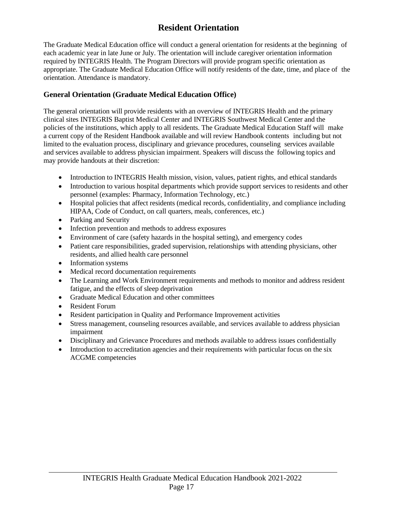## **Resident Orientation**

<span id="page-20-0"></span>The Graduate Medical Education office will conduct a general orientation for residents at the beginning of each academic year in late June or July. The orientation will include caregiver orientation information required by INTEGRIS Health. The Program Directors will provide program specific orientation as appropriate. The Graduate Medical Education Office will notify residents of the date, time, and place of the orientation. Attendance is mandatory.

#### **General Orientation (Graduate Medical Education Office)**

The general orientation will provide residents with an overview of INTEGRIS Health and the primary clinical sites INTEGRIS Baptist Medical Center and INTEGRIS Southwest Medical Center and the policies of the institutions, which apply to all residents. The Graduate Medical Education Staff will make a current copy of the Resident Handbook available and will review Handbook contents including but not limited to the evaluation process, disciplinary and grievance procedures, counseling services available and services available to address physician impairment. Speakers will discuss the following topics and may provide handouts at their discretion:

- Introduction to INTEGRIS Health mission, vision, values, patient rights, and ethical standards
- Introduction to various hospital departments which provide support services to residents and other personnel (examples: Pharmacy, Information Technology, etc.)
- Hospital policies that affect residents (medical records, confidentiality, and compliance including HIPAA, Code of Conduct, on call quarters, meals, conferences, etc.)
- Parking and Security
- Infection prevention and methods to address exposures
- Environment of care (safety hazards in the hospital setting), and emergency codes
- Patient care responsibilities, graded supervision, relationships with attending physicians, other residents, and allied health care personnel
- Information systems
- Medical record documentation requirements
- The Learning and Work Environment requirements and methods to monitor and address resident fatigue, and the effects of sleep deprivation
- Graduate Medical Education and other committees
- Resident Forum
- Resident participation in Quality and Performance Improvement activities
- Stress management, counseling resources available, and services available to address physician impairment
- Disciplinary and Grievance Procedures and methods available to address issues confidentially
- Introduction to accreditation agencies and their requirements with particular focus on the six ACGME competencies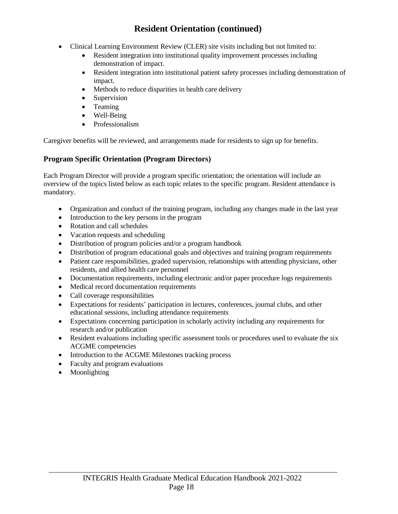## **Resident Orientation (continued)**

- Clinical Learning Environment Review (CLER) site visits including but not limited to:
	- Resident integration into institutional quality improvement processes including demonstration of impact.
	- Resident integration into institutional patient safety processes including demonstration of impact.
	- Methods to reduce disparities in health care delivery
	- Supervision
	- Teaming
	- Well-Being
	- Professionalism

Caregiver benefits will be reviewed, and arrangements made for residents to sign up for benefits.

#### **Program Specific Orientation (Program Directors)**

Each Program Director will provide a program specific orientation; the orientation will include an overview of the topics listed below as each topic relates to the specific program. Resident attendance is mandatory.

- Organization and conduct of the training program, including any changes made in the last year
- Introduction to the key persons in the program
- Rotation and call schedules
- Vacation requests and scheduling
- Distribution of program policies and/or a program handbook
- Distribution of program educational goals and objectives and training program requirements
- Patient care responsibilities, graded supervision, relationships with attending physicians, other residents, and allied health care personnel
- Documentation requirements, including electronic and/or paper procedure logs requirements
- Medical record documentation requirements
- Call coverage responsibilities
- Expectations for residents' participation in lectures, conferences, journal clubs, and other educational sessions, including attendance requirements
- Expectations concerning participation in scholarly activity including any requirements for research and/or publication
- Resident evaluations including specific assessment tools or procedures used to evaluate the six ACGME competencies
- Introduction to the ACGME Milestones tracking process
- Faculty and program evaluations
- Moonlighting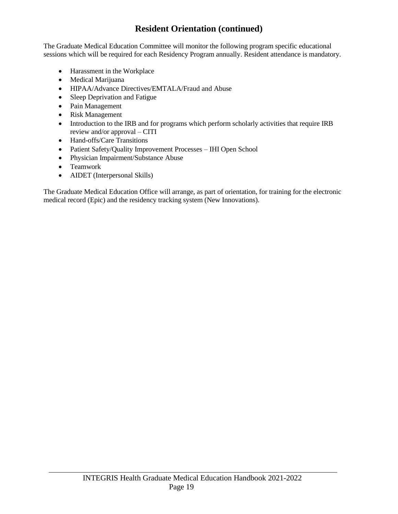## **Resident Orientation (continued)**

The Graduate Medical Education Committee will monitor the following program specific educational sessions which will be required for each Residency Program annually. Resident attendance is mandatory.

- Harassment in the Workplace
- Medical Marijuana
- HIPAA/Advance Directives/EMTALA/Fraud and Abuse
- Sleep Deprivation and Fatigue
- Pain Management
- Risk Management
- Introduction to the IRB and for programs which perform scholarly activities that require IRB review and/or approval – CITI
- Hand-offs/Care Transitions
- Patient Safety/Quality Improvement Processes IHI Open School
- Physician Impairment/Substance Abuse
- Teamwork
- AIDET (Interpersonal Skills)

The Graduate Medical Education Office will arrange, as part of orientation, for training for the electronic medical record (Epic) and the residency tracking system (New Innovations).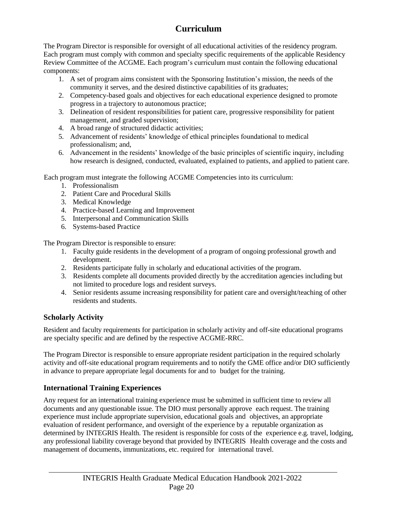## **Curriculum**

<span id="page-23-0"></span>The Program Director is responsible for oversight of all educational activities of the residency program. Each program must comply with common and specialty specific requirements of the applicable Residency Review Committee of the ACGME. Each program's curriculum must contain the following educational components:

- 1. A set of program aims consistent with the Sponsoring Institution's mission, the needs of the community it serves, and the desired distinctive capabilities of its graduates;
- 2. Competency-based goals and objectives for each educational experience designed to promote progress in a trajectory to autonomous practice;
- 3. Delineation of resident responsibilities for patient care, progressive responsibility for patient management, and graded supervision;
- 4. A broad range of structured didactic activities;
- 5. Advancement of residents' knowledge of ethical principles foundational to medical professionalism; and,
- 6. Advancement in the residents' knowledge of the basic principles of scientific inquiry, including how research is designed, conducted, evaluated, explained to patients, and applied to patient care.

Each program must integrate the following ACGME Competencies into its curriculum:

- 1. Professionalism
- 2. Patient Care and Procedural Skills
- 3. Medical Knowledge
- 4. Practice-based Learning and Improvement
- 5. Interpersonal and Communication Skills
- 6. Systems-based Practice

The Program Director is responsible to ensure:

- 1. Faculty guide residents in the development of a program of ongoing professional growth and development.
- 2. Residents participate fully in scholarly and educational activities of the program.
- 3. Residents complete all documents provided directly by the accreditation agencies including but not limited to procedure logs and resident surveys.
- 4. Senior residents assume increasing responsibility for patient care and oversight/teaching of other residents and students.

#### **Scholarly Activity**

Resident and faculty requirements for participation in scholarly activity and off-site educational programs are specialty specific and are defined by the respective ACGME-RRC.

The Program Director is responsible to ensure appropriate resident participation in the required scholarly activity and off-site educational program requirements and to notify the GME office and/or DIO sufficiently in advance to prepare appropriate legal documents for and to budget for the training.

## **International Training Experiences**

Any request for an international training experience must be submitted in sufficient time to review all documents and any questionable issue. The DIO must personally approve each request. The training experience must include appropriate supervision, educational goals and objectives, an appropriate evaluation of resident performance, and oversight of the experience by a reputable organization as determined by INTEGRIS Health. The resident is responsible for costs of the experience e.g. travel, lodging, any professional liability coverage beyond that provided by INTEGRIS Health coverage and the costs and management of documents, immunizations, etc. required for international travel.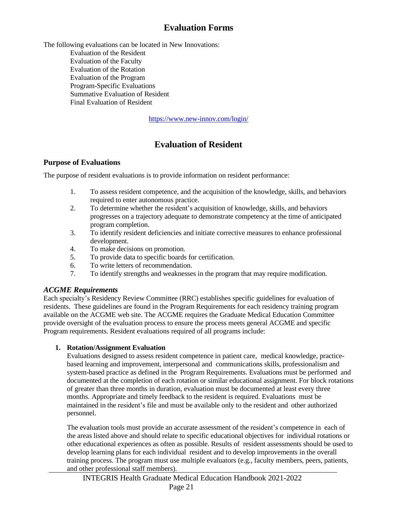## **Evaluation Forms**

<span id="page-24-0"></span>The following evaluations can be located in New Innovations: Evaluation of the Resident Evaluation of the Faculty Evaluation of the Rotation Evaluation of the Program Program-Specific Evaluations Summative Evaluation of Resident Final Evaluation of Resident

<https://www.new-innov.com/login/>

## **Evaluation of Resident**

#### **Purpose of Evaluations**

The purpose of resident evaluations is to provide information on resident performance:

- 1. To assess resident competence, and the acquisition of the knowledge, skills, and behaviors required to enter autonomous practice.
- 2. To determine whether the resident's acquisition of knowledge, skills, and behaviors progresses on a trajectory adequate to demonstrate competency at the time of anticipated program completion.
- 3. To identify resident deficiencies and initiate corrective measures to enhance professional development.
- 4. To make decisions on promotion.
- 5. To provide data to specific boards for certification.
- 6. To write letters of recommendation.
- 7. To identify strengths and weaknesses in the program that may require modification.

#### *ACGME Requirements*

Each specialty's Residency Review Committee (RRC) establishes specific guidelines for evaluation of residents. These guidelines are found in the Program Requirements for each residency training program available on the ACGME web site. The ACGME requires the Graduate Medical Education Committee provide oversight of the evaluation process to ensure the process meets general ACGME and specific Program requirements. Resident evaluations required of all programs include:

#### **1. Rotation/Assignment Evaluation**

Evaluations designed to assess resident competence in patient care, medical knowledge, practicebased learning and improvement, interpersonal and communications skills, professionalism and system-based practice as defined in the Program Requirements. Evaluations must be performed and documented at the completion of each rotation or similar educational assignment. For block rotations of greater than three months in duration, evaluation must be documented at least every three months. Appropriate and timely feedback to the resident is required. Evaluations must be maintained in the resident's file and must be available only to the resident and other authorized personnel.

The evaluation tools must provide an accurate assessment of the resident's competence in each of the areas listed above and should relate to specific educational objectives for individual rotations or other educational experiences as often as possible. Results of resident assessments should be used to develop learning plans for each individual resident and to develop improvements in the overall training process. The program must use multiple evaluators (e.g., faculty members, peers, patients, and other professional staff members).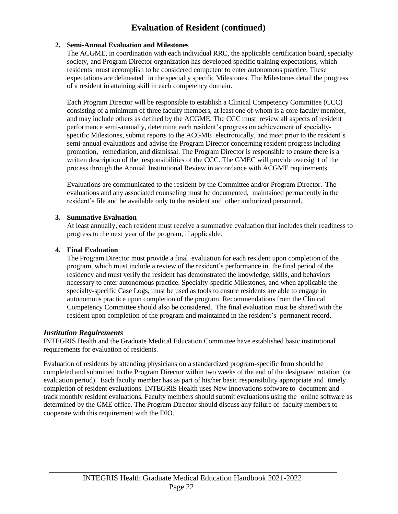## **Evaluation of Resident (continued)**

#### **2. Semi-Annual Evaluation and Milestones**

The ACGME, in coordination with each individual RRC, the applicable certification board, specialty society, and Program Director organization has developed specific training expectations, which residents must accomplish to be considered competent to enter autonomous practice. These expectations are delineated in the specialty specific Milestones. The Milestones detail the progress of a resident in attaining skill in each competency domain.

Each Program Director will be responsible to establish a Clinical Competency Committee (CCC) consisting of a minimum of three faculty members, at least one of whom is a core faculty member, and may include others as defined by the ACGME. The CCC must review all aspects of resident performance semi-annually, determine each resident's progress on achievement of specialtyspecific Milestones, submit reports to the ACGME electronically, and meet prior to the resident's semi-annual evaluations and advise the Program Director concerning resident progress including promotion, remediation, and dismissal. The Program Director is responsible to ensure there is a written description of the responsibilities of the CCC. The GMEC will provide oversight of the process through the Annual Institutional Review in accordance with ACGME requirements.

Evaluations are communicated to the resident by the Committee and/or Program Director. The evaluations and any associated counseling must be documented, maintained permanently in the resident's file and be available only to the resident and other authorized personnel.

#### **3. Summative Evaluation**

At least annually, each resident must receive a summative evaluation that includes their readiness to progress to the next year of the program, if applicable.

#### **4. Final Evaluation**

The Program Director must provide a final evaluation for each resident upon completion of the program, which must include a review of the resident's performance in the final period of the residency and must verify the resident has demonstrated the knowledge, skills, and behaviors necessary to enter autonomous practice. Specialty-specific Milestones, and when applicable the specialty-specific Case Logs, must be used as tools to ensure residents are able to engage in autonomous practice upon completion of the program. Recommendations from the Clinical Competency Committee should also be considered. The final evaluation must be shared with the resident upon completion of the program and maintained in the resident's permanent record.

#### *Institution Requirements*

INTEGRIS Health and the Graduate Medical Education Committee have established basic institutional requirements for evaluation of residents.

Evaluation of residents by attending physicians on a standardized program-specific form should be completed and submitted to the Program Director within two weeks of the end of the designated rotation (or evaluation period). Each faculty member has as part of his/her basic responsibility appropriate and timely completion of resident evaluations. INTEGRIS Health uses New Innovations software to document and track monthly resident evaluations. Faculty members should submit evaluations using the online software as determined by the GME office. The Program Director should discuss any failure of faculty members to cooperate with this requirement with the DIO.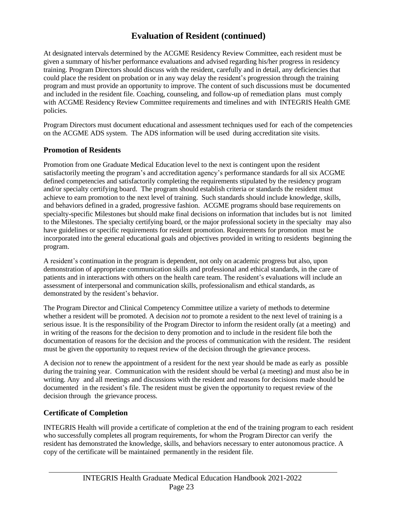## **Evaluation of Resident (continued)**

At designated intervals determined by the ACGME Residency Review Committee, each resident must be given a summary of his/her performance evaluations and advised regarding his/her progress in residency training. Program Directors should discuss with the resident, carefully and in detail, any deficiencies that could place the resident on probation or in any way delay the resident's progression through the training program and must provide an opportunity to improve. The content of such discussions must be documented and included in the resident file. Coaching, counseling, and follow-up of remediation plans must comply with ACGME Residency Review Committee requirements and timelines and with INTEGRIS Health GME policies.

Program Directors must document educational and assessment techniques used for each of the competencies on the ACGME ADS system. The ADS information will be used during accreditation site visits.

#### **Promotion of Residents**

Promotion from one Graduate Medical Education level to the next is contingent upon the resident satisfactorily meeting the program's and accreditation agency's performance standards for all six ACGME defined competencies and satisfactorily completing the requirements stipulated by the residency program and/or specialty certifying board. The program should establish criteria or standards the resident must achieve to earn promotion to the next level of training. Such standards should include knowledge, skills, and behaviors defined in a graded, progressive fashion. ACGME programs should base requirements on specialty-specific Milestones but should make final decisions on information that includes but is not limited to the Milestones. The specialty certifying board, or the major professional society in the specialty may also have guidelines or specific requirements for resident promotion. Requirements for promotion must be incorporated into the general educational goals and objectives provided in writing to residents beginning the program.

A resident's continuation in the program is dependent, not only on academic progress but also, upon demonstration of appropriate communication skills and professional and ethical standards, in the care of patients and in interactions with others on the health care team. The resident's evaluations will include an assessment of interpersonal and communication skills, professionalism and ethical standards, as demonstrated by the resident's behavior.

The Program Director and Clinical Competency Committee utilize a variety of methods to determine whether a resident will be promoted. A decision *not* to promote a resident to the next level of training is a serious issue. It is the responsibility of the Program Director to inform the resident orally (at a meeting) and in writing of the reasons for the decision to deny promotion and to include in the resident file both the documentation of reasons for the decision and the process of communication with the resident. The resident must be given the opportunity to request review of the decision through the grievance process.

A decision *not* to renew the appointment of a resident for the next year should be made as early as possible during the training year. Communication with the resident should be verbal (a meeting) and must also be in writing. Any and all meetings and discussions with the resident and reasons for decisions made should be documented in the resident's file. The resident must be given the opportunity to request review of the decision through the grievance process.

#### **Certificate of Completion**

INTEGRIS Health will provide a certificate of completion at the end of the training program to each resident who successfully completes all program requirements, for whom the Program Director can verify the resident has demonstrated the knowledge, skills, and behaviors necessary to enter autonomous practice. A copy of the certificate will be maintained permanently in the resident file.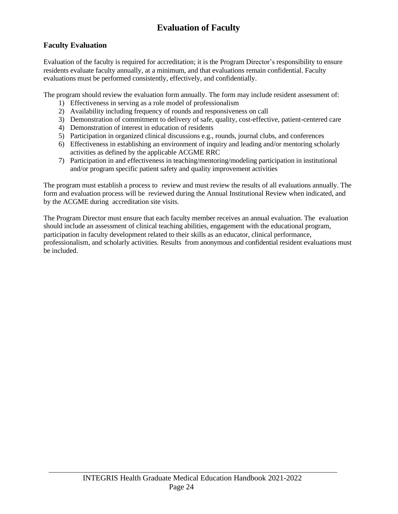## **Evaluation of Faculty**

#### **Faculty Evaluation**

Evaluation of the faculty is required for accreditation; it is the Program Director's responsibility to ensure residents evaluate faculty annually, at a minimum, and that evaluations remain confidential. Faculty evaluations must be performed consistently, effectively, and confidentially.

The program should review the evaluation form annually. The form may include resident assessment of:

- 1) Effectiveness in serving as a role model of professionalism
- 2) Availability including frequency of rounds and responsiveness on call
- 3) Demonstration of commitment to delivery of safe, quality, cost-effective, patient-centered care
- 4) Demonstration of interest in education of residents
- 5) Participation in organized clinical discussions e.g., rounds, journal clubs, and conferences
- 6) Effectiveness in establishing an environment of inquiry and leading and/or mentoring scholarly activities as defined by the applicable ACGME RRC
- 7) Participation in and effectiveness in teaching/mentoring/modeling participation in institutional and/or program specific patient safety and quality improvement activities

The program must establish a process to review and must review the results of all evaluations annually. The form and evaluation process will be reviewed during the Annual Institutional Review when indicated, and by the ACGME during accreditation site visits.

The Program Director must ensure that each faculty member receives an annual evaluation. The evaluation should include an assessment of clinical teaching abilities, engagement with the educational program, participation in faculty development related to their skills as an educator, clinical performance, professionalism, and scholarly activities. Results from anonymous and confidential resident evaluations must be included.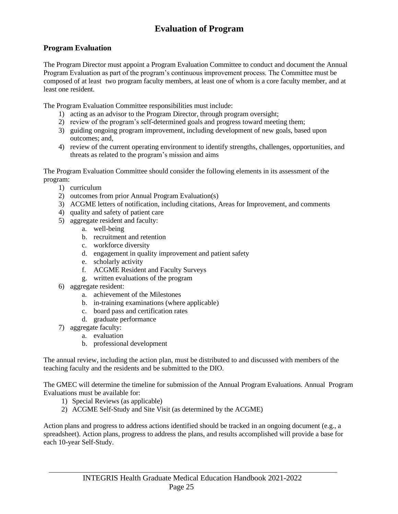## **Evaluation of Program**

#### **Program Evaluation**

The Program Director must appoint a Program Evaluation Committee to conduct and document the Annual Program Evaluation as part of the program's continuous improvement process. The Committee must be composed of at least two program faculty members, at least one of whom is a core faculty member, and at least one resident.

The Program Evaluation Committee responsibilities must include:

- 1) acting as an advisor to the Program Director, through program oversight;
- 2) review of the program's self-determined goals and progress toward meeting them;
- 3) guiding ongoing program improvement, including development of new goals, based upon outcomes; and,
- 4) review of the current operating environment to identify strengths, challenges, opportunities, and threats as related to the program's mission and aims

The Program Evaluation Committee should consider the following elements in its assessment of the program:

- 1) curriculum
- 2) outcomes from prior Annual Program Evaluation(s)
- 3) ACGME letters of notification, including citations, Areas for Improvement, and comments
- 4) quality and safety of patient care
- 5) aggregate resident and faculty:
	- a. well-being
	- b. recruitment and retention
	- c. workforce diversity
	- d. engagement in quality improvement and patient safety
	- e. scholarly activity
	- f. ACGME Resident and Faculty Surveys
	- g. written evaluations of the program
- 6) aggregate resident:
	- a. achievement of the Milestones
	- b. in-training examinations (where applicable)
	- c. board pass and certification rates
	- d. graduate performance
- 7) aggregate faculty:
	- a. evaluation
	- b. professional development

The annual review, including the action plan, must be distributed to and discussed with members of the teaching faculty and the residents and be submitted to the DIO.

The GMEC will determine the timeline for submission of the Annual Program Evaluations. Annual Program Evaluations must be available for:

- 1) Special Reviews (as applicable)
- 2) ACGME Self-Study and Site Visit (as determined by the ACGME)

Action plans and progress to address actions identified should be tracked in an ongoing document (e.g., a spreadsheet). Action plans, progress to address the plans, and results accomplished will provide a base for each 10-year Self-Study.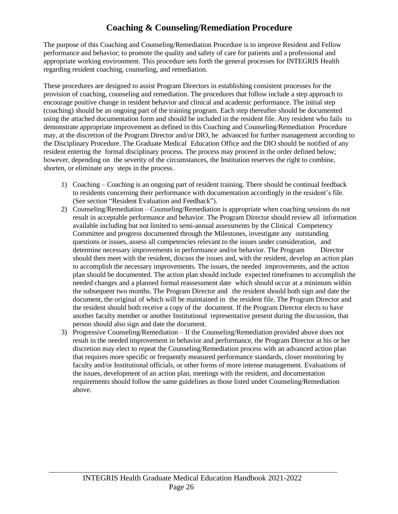## **Coaching & Counseling/Remediation Procedure**

The purpose of this Coaching and Counseling/Remediation Procedure is to improve Resident and Fellow performance and behavior; to promote the quality and safety of care for patients and a professional and appropriate working environment. This procedure sets forth the general processes for INTEGRIS Health regarding resident coaching, counseling, and remediation.

These procedures are designed to assist Program Directors in establishing consistent processes for the provision of coaching, counseling and remediation. The procedures that follow include a step approach to encourage positive change in resident behavior and clinical and academic performance. The initial step (coaching) should be an ongoing part of the training program. Each step thereafter should be documented using the attached documentation form and should be included in the resident file. Any resident who fails to demonstrate appropriate improvement as defined in this Coaching and Counseling/Remediation Procedure may, at the discretion of the Program Director and/or DIO, be advanced for further management according to the Disciplinary Procedure. The Graduate Medical Education Office and the DIO should be notified of any resident entering the formal disciplinary process. The process may proceed in the order defined below; however, depending on the severity of the circumstances, the Institution reserves the right to combine, shorten, or eliminate any steps in the process.

- 1) Coaching Coaching is an ongoing part of resident training. There should be continual feedback to residents concerning their performance with documentation accordingly in the resident's file. (See section "Resident Evaluation and Feedback").
- 2) Counseling/Remediation Counseling/Remediation is appropriate when coaching sessions do not result in acceptable performance and behavior. The Program Director should review all information available including but not limited to semi-annual assessments by the Clinical Competency Committee and progress documented through the Milestones, investigate any outstanding questions or issues, assess all competencies relevant to the issues under consideration, and determine necessary improvements in performance and/or behavior. The Program Director should then meet with the resident, discuss the issues and, with the resident, develop an action plan to accomplish the necessary improvements. The issues, the needed improvements, and the action plan should be documented. The action plan should include expected timeframes to accomplish the needed changes and a planned formal reassessment date which should occur at a minimum within the subsequent two months. The Program Director and the resident should both sign and date the document, the original of which will be maintained in the resident file. The Program Director and the resident should both receive a copy of the document. If the Program Director elects to have another faculty member or another Institutional representative present during the discussion, that person should also sign and date the document.
- 3) Progressive Counseling/Remediation If the Counseling/Remediation provided above does not result in the needed improvement in behavior and performance, the Program Director at his or her discretion may elect to repeat the Counseling/Remediation process with an advanced action plan that requires more specific or frequently measured performance standards, closer monitoring by faculty and/or Institutional officials, or other forms of more intense management. Evaluations of the issues, development of an action plan, meetings with the resident, and documentation requirements should follow the same guidelines as those listed under Counseling/Remediation above.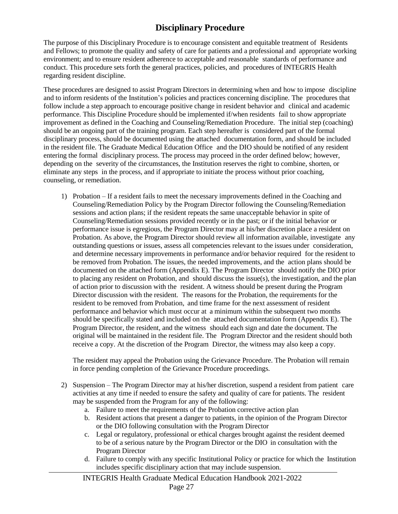## **Disciplinary Procedure**

<span id="page-30-0"></span>The purpose of this Disciplinary Procedure is to encourage consistent and equitable treatment of Residents and Fellows; to promote the quality and safety of care for patients and a professional and appropriate working environment; and to ensure resident adherence to acceptable and reasonable standards of performance and conduct. This procedure sets forth the general practices, policies, and procedures of INTEGRIS Health regarding resident discipline.

These procedures are designed to assist Program Directors in determining when and how to impose discipline and to inform residents of the Institution's policies and practices concerning discipline. The procedures that follow include a step approach to encourage positive change in resident behavior and clinical and academic performance. This Discipline Procedure should be implemented if/when residents fail to show appropriate improvement as defined in the Coaching and Counseling/Remediation Procedure. The initial step (coaching) should be an ongoing part of the training program. Each step hereafter is considered part of the formal disciplinary process, should be documented using the attached documentation form, and should be included in the resident file. The Graduate Medical Education Office and the DIO should be notified of any resident entering the formal disciplinary process. The process may proceed in the order defined below; however, depending on the severity of the circumstances, the Institution reserves the right to combine, shorten, or eliminate any steps in the process, and if appropriate to initiate the process without prior coaching, counseling, or remediation.

1) Probation – If a resident fails to meet the necessary improvements defined in the Coaching and Counseling/Remediation Policy by the Program Director following the Counseling/Remediation sessions and action plans; if the resident repeats the same unacceptable behavior in spite of Counseling/Remediation sessions provided recently or in the past; or if the initial behavior or performance issue is egregious, the Program Director may at his/her discretion place a resident on Probation. As above, the Program Director should review all information available, investigate any outstanding questions or issues, assess all competencies relevant to the issues under consideration, and determine necessary improvements in performance and/or behavior required for the resident to be removed from Probation. The issues, the needed improvements, and the action plans should be documented on the attached form (Appendix E). The Program Director should notify the DIO prior to placing any resident on Probation, and should discuss the issue(s), the investigation, and the plan of action prior to discussion with the resident. A witness should be present during the Program Director discussion with the resident. The reasons for the Probation, the requirements for the resident to be removed from Probation, and time frame for the next assessment of resident performance and behavior which must occur at a minimum within the subsequent two months should be specifically stated and included on the attached documentation form (Appendix E). The Program Director, the resident, and the witness should each sign and date the document. The original will be maintained in the resident file. The Program Director and the resident should both receive a copy. At the discretion of the Program Director, the witness may also keep a copy.

The resident may appeal the Probation using the Grievance Procedure. The Probation will remain in force pending completion of the Grievance Procedure proceedings.

- 2) Suspension The Program Director may at his/her discretion, suspend a resident from patient care activities at any time if needed to ensure the safety and quality of care for patients. The resident may be suspended from the Program for any of the following:
	- a. Failure to meet the requirements of the Probation corrective action plan
	- b. Resident actions that present a danger to patients, in the opinion of the Program Director or the DIO following consultation with the Program Director
	- c. Legal or regulatory, professional or ethical charges brought against the resident deemed to be of a serious nature by the Program Director or the DIO in consultation with the Program Director
	- d. Failure to comply with any specific Institutional Policy or practice for which the Institution includes specific disciplinary action that may include suspension.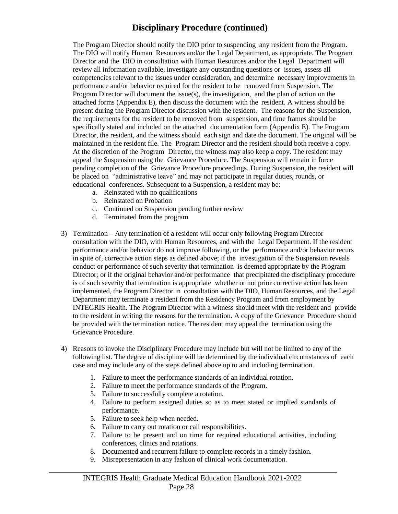## **Disciplinary Procedure (continued)**

The Program Director should notify the DIO prior to suspending any resident from the Program. The DIO will notify Human Resources and/or the Legal Department, as appropriate. The Program Director and the DIO in consultation with Human Resources and/or the Legal Department will review all information available, investigate any outstanding questions or issues, assess all competencies relevant to the issues under consideration, and determine necessary improvements in performance and/or behavior required for the resident to be removed from Suspension. The Program Director will document the issue(s), the investigation, and the plan of action on the attached forms (Appendix E), then discuss the document with the resident. A witness should be present during the Program Director discussion with the resident. The reasons for the Suspension, the requirements for the resident to be removed from suspension, and time frames should be specifically stated and included on the attached documentation form (Appendix E). The Program Director, the resident, and the witness should each sign and date the document. The original will be maintained in the resident file. The Program Director and the resident should both receive a copy. At the discretion of the Program Director, the witness may also keep a copy. The resident may appeal the Suspension using the Grievance Procedure. The Suspension will remain in force pending completion of the Grievance Procedure proceedings. During Suspension, the resident will be placed on "administrative leave" and may not participate in regular duties, rounds, or educational conferences. Subsequent to a Suspension, a resident may be:

- a. Reinstated with no qualifications
- b. Reinstated on Probation
- c. Continued on Suspension pending further review
- d. Terminated from the program
- 3) Termination Any termination of a resident will occur only following Program Director consultation with the DIO, with Human Resources, and with the Legal Department. If the resident performance and/or behavior do not improve following, or the performance and/or behavior recurs in spite of, corrective action steps as defined above; if the investigation of the Suspension reveals conduct or performance of such severity that termination is deemed appropriate by the Program Director; or if the original behavior and/or performance that precipitated the disciplinary procedure is of such severity that termination is appropriate whether or not prior corrective action has been implemented, the Program Director in consultation with the DIO, Human Resources, and the Legal Department may terminate a resident from the Residency Program and from employment by INTEGRIS Health. The Program Director with a witness should meet with the resident and provide to the resident in writing the reasons for the termination. A copy of the Grievance Procedure should be provided with the termination notice. The resident may appeal the termination using the Grievance Procedure.
- 4) Reasons to invoke the Disciplinary Procedure may include but will not be limited to any of the following list. The degree of discipline will be determined by the individual circumstances of each case and may include any of the steps defined above up to and including termination.
	- 1. Failure to meet the performance standards of an individual rotation.
	- 2. Failure to meet the performance standards of the Program.
	- 3. Failure to successfully complete a rotation.
	- 4. Failure to perform assigned duties so as to meet stated or implied standards of performance.
	- 5. Failure to seek help when needed.
	- 6. Failure to carry out rotation or call responsibilities.
	- 7. Failure to be present and on time for required educational activities, including conferences, clinics and rotations.
	- 8. Documented and recurrent failure to complete records in a timely fashion.
	- 9. Misrepresentation in any fashion of clinical work documentation.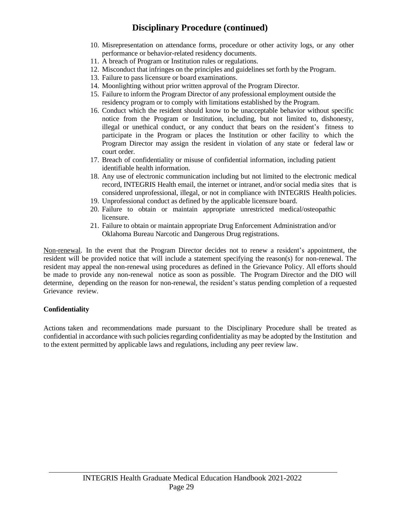## **Disciplinary Procedure (continued)**

- 10. Misrepresentation on attendance forms, procedure or other activity logs, or any other performance or behavior-related residency documents.
- 11. A breach of Program or Institution rules or regulations.
- 12. Misconduct that infringes on the principles and guidelines set forth by the Program.
- 13. Failure to pass licensure or board examinations.
- 14. Moonlighting without prior written approval of the Program Director.
- 15. Failure to inform the Program Director of any professional employment outside the residency program or to comply with limitations established by the Program.
- 16. Conduct which the resident should know to be unacceptable behavior without specific notice from the Program or Institution, including, but not limited to, dishonesty, illegal or unethical conduct, or any conduct that bears on the resident's fitness to participate in the Program or places the Institution or other facility to which the Program Director may assign the resident in violation of any state or federal law or court order.
- 17. Breach of confidentiality or misuse of confidential information, including patient identifiable health information.
- 18. Any use of electronic communication including but not limited to the electronic medical record, INTEGRIS Health email, the internet or intranet, and/or social media sites that is considered unprofessional, illegal, or not in compliance with INTEGRIS Health policies.
- 19. Unprofessional conduct as defined by the applicable licensure board.
- 20. Failure to obtain or maintain appropriate unrestricted medical/osteopathic licensure.
- 21. Failure to obtain or maintain appropriate Drug Enforcement Administration and/or Oklahoma Bureau Narcotic and Dangerous Drug registrations.

Non-renewal. In the event that the Program Director decides not to renew a resident's appointment, the resident will be provided notice that will include a statement specifying the reason(s) for non-renewal. The resident may appeal the non-renewal using procedures as defined in the Grievance Policy. All efforts should be made to provide any non-renewal notice as soon as possible. The Program Director and the DIO will determine, depending on the reason for non-renewal, the resident's status pending completion of a requested Grievance review.

#### **Confidentiality**

Actions taken and recommendations made pursuant to the Disciplinary Procedure shall be treated as confidential in accordance with such policies regarding confidentiality as may be adopted by the Institution and to the extent permitted by applicable laws and regulations, including any peer review law.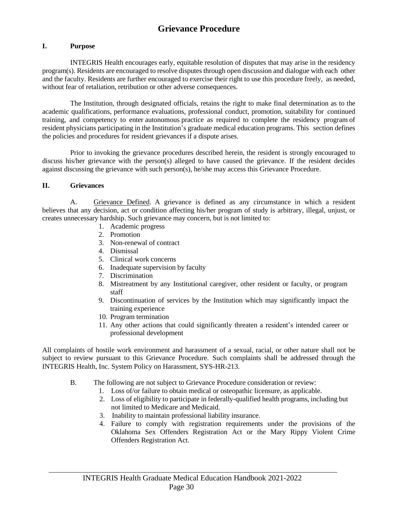## **Grievance Procedure**

#### <span id="page-33-0"></span>**I. Purpose**

INTEGRIS Health encourages early, equitable resolution of disputes that may arise in the residency program(s). Residents are encouraged to resolve disputes through open discussion and dialogue with each other and the faculty. Residents are further encouraged to exercise their right to use this procedure freely, as needed, without fear of retaliation, retribution or other adverse consequences.

The Institution, through designated officials, retains the right to make final determination as to the academic qualifications, performance evaluations, professional conduct, promotion, suitability for continued training, and competency to enter autonomous practice as required to complete the residency program of resident physicians participating in the Institution's graduate medical education programs. This section defines the policies and procedures for resident grievances if a dispute arises.

Prior to invoking the grievance procedures described herein, the resident is strongly encouraged to discuss his/her grievance with the person(s) alleged to have caused the grievance. If the resident decides against discussing the grievance with such person(s), he/she may access this Grievance Procedure.

#### **II. Grievances**

A. Grievance Defined. A grievance is defined as any circumstance in which a resident believes that any decision, act or condition affecting his/her program of study is arbitrary, illegal, unjust, or creates unnecessary hardship. Such grievance may concern, but is not limited to:

- 1. Academic progress
- 2. Promotion
- 3. Non-renewal of contract
- 4. Dismissal
- 5. Clinical work concerns
- 6. Inadequate supervision by faculty
- 7. Discrimination
- 8. Mistreatment by any Institutional caregiver, other resident or faculty, or program staff
- 9. Discontinuation of services by the Institution which may significantly impact the training experience
- 10. Program termination
- 11. Any other actions that could significantly threaten a resident's intended career or professional development

All complaints of hostile work environment and harassment of a sexual, racial, or other nature shall not be subject to review pursuant to this Grievance Procedure. Such complaints shall be addressed through the INTEGRIS Health, Inc. System Policy on Harassment, SYS-HR-213.

- B. The following are not subject to Grievance Procedure consideration or review:
	- 1. Loss of/or failure to obtain medical or osteopathic licensure, as applicable.
	- 2. Loss of eligibility to participate in federally-qualified health programs, including but not limited to Medicare and Medicaid.
	- 3. Inability to maintain professional liability insurance.
	- 4. Failure to comply with registration requirements under the provisions of the Oklahoma Sex Offenders Registration Act or the Mary Rippy Violent Crime Offenders Registration Act.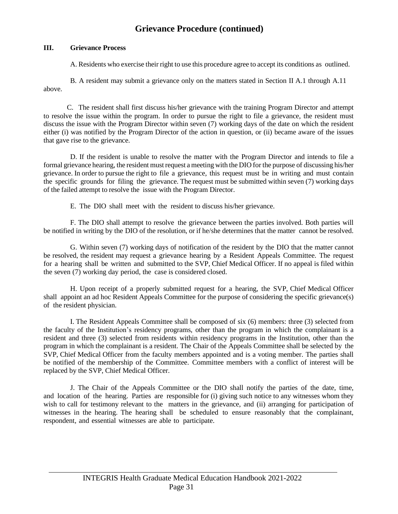## **Grievance Procedure (continued)**

#### **III. Grievance Process**

A. Residents who exercise their right to use this procedure agree to accept its conditions as outlined.

above. B. A resident may submit a grievance only on the matters stated in Section II A.1 through A.11

C. The resident shall first discuss his/her grievance with the training Program Director and attempt to resolve the issue within the program. In order to pursue the right to file a grievance, the resident must discuss the issue with the Program Director within seven (7) working days of the date on which the resident either (i) was notified by the Program Director of the action in question, or (ii) became aware of the issues that gave rise to the grievance.

D. If the resident is unable to resolve the matter with the Program Director and intends to file a formal grievance hearing, the resident must request a meeting with the DIO for the purpose of discussing his/her grievance. In order to pursue the right to file a grievance, this request must be in writing and must contain the specific grounds for filing the grievance. The request must be submitted within seven (7) working days of the failed attempt to resolve the issue with the Program Director.

E. The DIO shall meet with the resident to discuss his/her grievance.

F. The DIO shall attempt to resolve the grievance between the parties involved. Both parties will be notified in writing by the DIO of the resolution, or if he/she determines that the matter cannot be resolved.

G. Within seven (7) working days of notification of the resident by the DIO that the matter cannot be resolved, the resident may request a grievance hearing by a Resident Appeals Committee. The request for a hearing shall be written and submitted to the SVP, Chief Medical Officer. If no appeal is filed within the seven (7) working day period, the case is considered closed.

H. Upon receipt of a properly submitted request for a hearing, the SVP, Chief Medical Officer shall appoint an ad hoc Resident Appeals Committee for the purpose of considering the specific grievance(s) of the resident physician.

I. The Resident Appeals Committee shall be composed of six (6) members: three (3) selected from the faculty of the Institution's residency programs, other than the program in which the complainant is a resident and three (3) selected from residents within residency programs in the Institution, other than the program in which the complainant is a resident. The Chair of the Appeals Committee shall be selected by the SVP, Chief Medical Officer from the faculty members appointed and is a voting member. The parties shall be notified of the membership of the Committee. Committee members with a conflict of interest will be replaced by the SVP, Chief Medical Officer.

J. The Chair of the Appeals Committee or the DIO shall notify the parties of the date, time, and location of the hearing. Parties are responsible for (i) giving such notice to any witnesses whom they wish to call for testimony relevant to the matters in the grievance, and (ii) arranging for participation of witnesses in the hearing. The hearing shall be scheduled to ensure reasonably that the complainant, respondent, and essential witnesses are able to participate.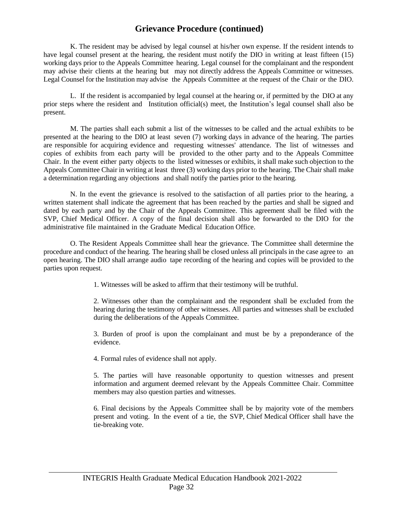## **Grievance Procedure (continued)**

K. The resident may be advised by legal counsel at his/her own expense. If the resident intends to have legal counsel present at the hearing, the resident must notify the DIO in writing at least fifteen (15) working days prior to the Appeals Committee hearing. Legal counsel for the complainant and the respondent may advise their clients at the hearing but may not directly address the Appeals Committee or witnesses. Legal Counsel for the Institution may advise the Appeals Committee at the request of the Chair or the DIO.

L. If the resident is accompanied by legal counsel at the hearing or, if permitted by the DIO at any prior steps where the resident and Institution official(s) meet, the Institution's legal counsel shall also be present.

M. The parties shall each submit a list of the witnesses to be called and the actual exhibits to be presented at the hearing to the DIO at least seven (7) working days in advance of the hearing. The parties are responsible for acquiring evidence and requesting witnesses' attendance. The list of witnesses and copies of exhibits from each party will be provided to the other party and to the Appeals Committee Chair. In the event either party objects to the listed witnesses or exhibits, it shall make such objection to the Appeals Committee Chair in writing at least three (3) working days prior to the hearing. The Chair shall make a determination regarding any objections and shall notify the parties prior to the hearing.

N. In the event the grievance is resolved to the satisfaction of all parties prior to the hearing, a written statement shall indicate the agreement that has been reached by the parties and shall be signed and dated by each party and by the Chair of the Appeals Committee. This agreement shall be filed with the SVP, Chief Medical Officer. A copy of the final decision shall also be forwarded to the DIO for the administrative file maintained in the Graduate Medical Education Office.

O. The Resident Appeals Committee shall hear the grievance. The Committee shall determine the procedure and conduct of the hearing. The hearing shall be closed unless all principals in the case agree to an open hearing. The DIO shall arrange audio tape recording of the hearing and copies will be provided to the parties upon request.

1. Witnesses will be asked to affirm that their testimony will be truthful.

2. Witnesses other than the complainant and the respondent shall be excluded from the hearing during the testimony of other witnesses. All parties and witnesses shall be excluded during the deliberations of the Appeals Committee.

3. Burden of proof is upon the complainant and must be by a preponderance of the evidence.

4. Formal rules of evidence shall not apply.

5. The parties will have reasonable opportunity to question witnesses and present information and argument deemed relevant by the Appeals Committee Chair. Committee members may also question parties and witnesses.

6. Final decisions by the Appeals Committee shall be by majority vote of the members present and voting. In the event of a tie, the SVP, Chief Medical Officer shall have the tie-breaking vote.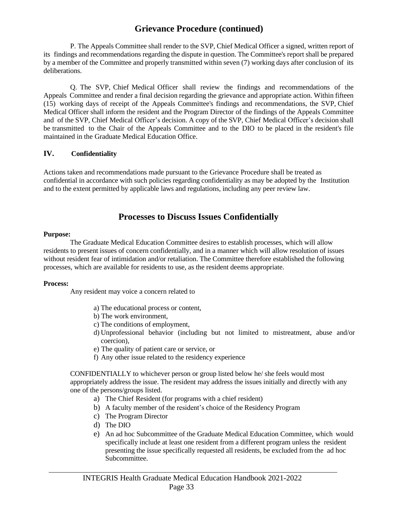### **Grievance Procedure (continued)**

P. The Appeals Committee shall render to the SVP, Chief Medical Officer a signed, written report of its findings and recommendations regarding the dispute in question. The Committee's report shall be prepared by a member of the Committee and properly transmitted within seven (7) working days after conclusion of its deliberations.

Q. The SVP, Chief Medical Officer shall review the findings and recommendations of the Appeals Committee and render a final decision regarding the grievance and appropriate action. Within fifteen (15) working days of receipt of the Appeals Committee's findings and recommendations, the SVP, Chief Medical Officer shall inform the resident and the Program Director of the findings of the Appeals Committee and of the SVP, Chief Medical Officer's decision. A copy of the SVP, Chief Medical Officer's decision shall be transmitted to the Chair of the Appeals Committee and to the DIO to be placed in the resident's file maintained in the Graduate Medical Education Office.

#### **IV. Confidentiality**

Actions taken and recommendations made pursuant to the Grievance Procedure shall be treated as confidential in accordance with such policies regarding confidentiality as may be adopted by the Institution and to the extent permitted by applicable laws and regulations, including any peer review law.

#### **Processes to Discuss Issues Confidentially**

#### **Purpose:**

The Graduate Medical Education Committee desires to establish processes, which will allow residents to present issues of concern confidentially, and in a manner which will allow resolution of issues without resident fear of intimidation and/or retaliation. The Committee therefore established the following processes, which are available for residents to use, as the resident deems appropriate.

#### **Process:**

Any resident may voice a concern related to

- a) The educational process or content,
- b) The work environment,
- c) The conditions of employment,
- d) Unprofessional behavior (including but not limited to mistreatment, abuse and/or coercion),
- e) The quality of patient care or service, or
- f) Any other issue related to the residency experience

CONFIDENTIALLY to whichever person or group listed below he/ she feels would most appropriately address the issue. The resident may address the issues initially and directly with any one of the persons/groups listed.

- a) The Chief Resident (for programs with a chief resident)
- b) A faculty member of the resident's choice of the Residency Program
- c) The Program Director
- d) The DIO
- e) An ad hoc Subcommittee of the Graduate Medical Education Committee, which would specifically include at least one resident from a different program unless the resident presenting the issue specifically requested all residents, be excluded from the ad hoc Subcommittee.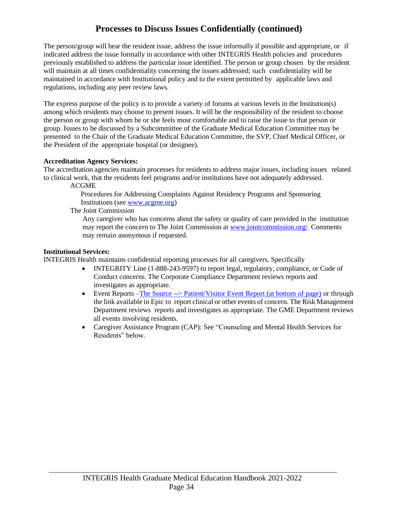## **Processes to Discuss Issues Confidentially (continued)**

The person/group will hear the resident issue, address the issue informally if possible and appropriate, or if indicated address the issue formally in accordance with other INTEGRIS Health policies and procedures previously established to address the particular issue identified. The person or group chosen by the resident will maintain at all times confidentiality concerning the issues addressed; such confidentiality will be maintained in accordance with Institutional policy and to the extent permitted by applicable laws and regulations, including any peer review laws.

The express purpose of the policy is to provide a variety of forums at various levels in the Institution(s) among which residents may choose to present issues. It will be the responsibility of the resident to choose the person or group with whom he or she feels most comfortable and to raise the issue to that person or group. Issues to be discussed by a Subcommittee of the Graduate Medical Education Committee may be presented to the Chair of the Graduate Medical Education Committee, the SVP, Chief Medical Officer, or the President of the appropriate hospital (or designee).

#### **Accreditation Agency Services:**

The accreditation agencies maintain processes for residents to address major issues, including issues related to clinical work, that the residents feel programs and/or institutions have not adequately addressed.

ACGME

Procedures for Addressing Complaints Against Residency Programs and Sponsoring Institutions (see [www.acgme.org\)](https://www.acgme.org/Residents-and-Fellows/Report-an-Issue/Office-of-Complaints)

The Joint Commission

Any caregiver who has concerns about the safety or quality of care provided in the institution may report the concern to The Joint Commission at [www.jointcommission.org/.](http://www.jointcommission.org/) Comments may remain anonymous if requested.

#### **Institutional Services:**

INTEGRIS Health maintains confidential reporting processes for all caregivers. Specifically

- INTEGRITY Line (1-888-243-9597) to report legal, regulatory, compliance, or Code of Conduct concerns. The Corporate Compliance Department reviews reports and investigates as appropriate.
- Event Reports –The Source --> Patient/Visitor Event Report (at bottom of page) or through the link available in Epic to report clinical or other events of concern. The Risk Management Department reviews reports and investigates as appropriate. The GME Department reviews all events involving residents.
- Caregiver Assistance Program (CAP): See "Counseling and Mental Health Services for Residents" below.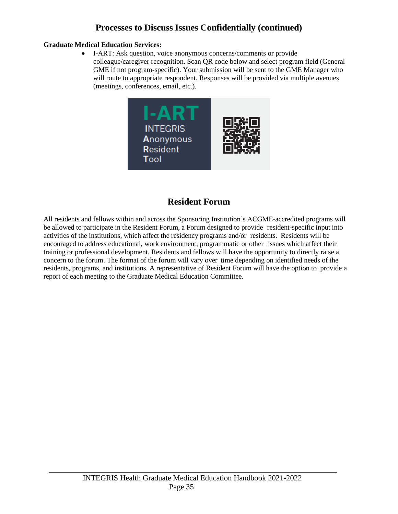## **Processes to Discuss Issues Confidentially (continued)**

#### **Graduate Medical Education Services:**

• I-ART: Ask question, voice anonymous concerns/comments or provide colleague/caregiver recognition. Scan QR code below and select program field (General GME if not program-specific). Your submission will be sent to the GME Manager who will route to appropriate respondent. Responses will be provided via multiple avenues (meetings, conferences, email, etc.).



## **Resident Forum**

All residents and fellows within and across the Sponsoring Institution's ACGME-accredited programs will be allowed to participate in the Resident Forum, a Forum designed to provide resident-specific input into activities of the institutions, which affect the residency programs and/or residents. Residents will be encouraged to address educational, work environment, programmatic or other issues which affect their training or professional development. Residents and fellows will have the opportunity to directly raise a concern to the forum. The format of the forum will vary over time depending on identified needs of the residents, programs, and institutions. A representative of Resident Forum will have the option to provide a report of each meeting to the Graduate Medical Education Committee.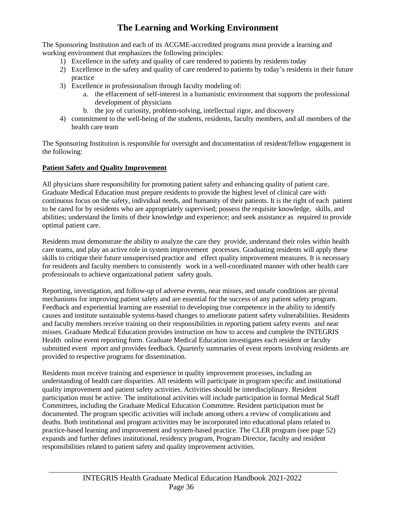## **The Learning and Working Environment**

The Sponsoring Institution and each of its ACGME-accredited programs must provide a learning and working environment that emphasizes the following principles:

- 1) Excellence in the safety and quality of care rendered to patients by residents today
- 2) Excellence in the safety and quality of care rendered to patients by today's residents in their future practice
- 3) Excellence in professionalism through faculty modeling of:
	- a. the effacement of self-interest in a humanistic environment that supports the professional development of physicians
	- b. the joy of curiosity, problem-solving, intellectual rigor, and discovery
- 4) commitment to the well-being of the students, residents, faculty members, and all members of the health care team

The Sponsoring Institution is responsible for oversight and documentation of resident/fellow engagement in the following:

#### **Patient Safety and Quality Improvement**

All physicians share responsibility for promoting patient safety and enhancing quality of patient care. Graduate Medical Education must prepare residents to provide the highest level of clinical care with continuous focus on the safety, individual needs, and humanity of their patients. It is the right of each patient to be cared for by residents who are appropriately supervised; possess the requisite knowledge, skills, and abilities; understand the limits of their knowledge and experience; and seek assistance as required to provide optimal patient care.

Residents must demonstrate the ability to analyze the care they provide, understand their roles within health care teams, and play an active role in system improvement processes. Graduating residents will apply these skills to critique their future unsupervised practice and effect quality improvement measures. It is necessary for residents and faculty members to consistently work in a well-coordinated manner with other health care professionals to achieve organizational patient safety goals.

Reporting, investigation, and follow-up of adverse events, near misses, and unsafe conditions are pivotal mechanisms for improving patient safety and are essential for the success of any patient safety program. Feedback and experiential learning are essential to developing true competence in the ability to identify causes and institute sustainable systems-based changes to ameliorate patient safety vulnerabilities. Residents and faculty members receive training on their responsibilities in reporting patient safety events and near misses. Graduate Medical Education provides instruction on how to access and complete the INTEGRIS Health online event reporting form. Graduate Medical Education investigates each resident or faculty submitted event report and provides feedback. Quarterly summaries of event reports involving residents are provided to respective programs for dissemination.

Residents must receive training and experience in quality improvement processes, including an understanding of health care disparities. All residents will participate in program specific and institutional quality improvement and patient safety activities. Activities should be interdisciplinary. Resident participation must be active. The institutional activities will include participation in formal Medical Staff Committees, including the Graduate Medical Education Committee. Resident participation must be documented. The program specific activities will include among others a review of complications and deaths. Both institutional and program activities may be incorporated into educational plans related to practice-based learning and improvement and system-based practice. The CLER program (see page 52) expands and further defines institutional, residency program, Program Director, faculty and resident responsibilities related to patient safety and quality improvement activities.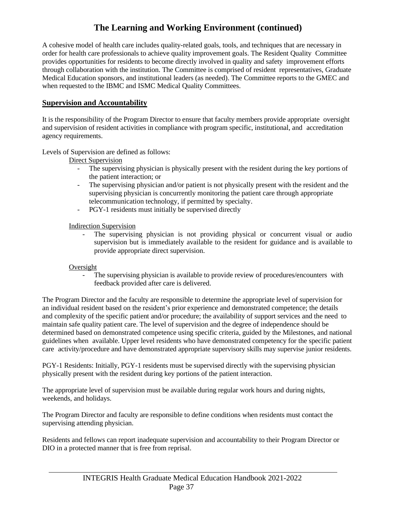A cohesive model of health care includes quality-related goals, tools, and techniques that are necessary in order for health care professionals to achieve quality improvement goals. The Resident Quality Committee provides opportunities for residents to become directly involved in quality and safety improvement efforts through collaboration with the institution. The Committee is comprised of resident representatives, Graduate Medical Education sponsors, and institutional leaders (as needed). The Committee reports to the GMEC and when requested to the IBMC and ISMC Medical Quality Committees.

#### **Supervision and Accountability**

It is the responsibility of the Program Director to ensure that faculty members provide appropriate oversight and supervision of resident activities in compliance with program specific, institutional, and accreditation agency requirements.

Levels of Supervision are defined as follows:

Direct Supervision

- The supervising physician is physically present with the resident during the key portions of the patient interaction; or
- The supervising physician and/or patient is not physically present with the resident and the supervising physician is concurrently monitoring the patient care through appropriate telecommunication technology, if permitted by specialty.
- PGY-1 residents must initially be supervised directly

Indirection Supervision

- The supervising physician is not providing physical or concurrent visual or audio supervision but is immediately available to the resident for guidance and is available to provide appropriate direct supervision.

#### Oversight

The supervising physician is available to provide review of procedures/encounters with feedback provided after care is delivered.

The Program Director and the faculty are responsible to determine the appropriate level of supervision for an individual resident based on the resident's prior experience and demonstrated competence; the details and complexity of the specific patient and/or procedure; the availability of support services and the need to maintain safe quality patient care. The level of supervision and the degree of independence should be determined based on demonstrated competence using specific criteria, guided by the Milestones, and national guidelines when available. Upper level residents who have demonstrated competency for the specific patient care activity/procedure and have demonstrated appropriate supervisory skills may supervise junior residents.

PGY-1 Residents: Initially, PGY-1 residents must be supervised directly with the supervising physician physically present with the resident during key portions of the patient interaction.

The appropriate level of supervision must be available during regular work hours and during nights, weekends, and holidays.

The Program Director and faculty are responsible to define conditions when residents must contact the supervising attending physician.

Residents and fellows can report inadequate supervision and accountability to their Program Director or DIO in a protected manner that is free from reprisal.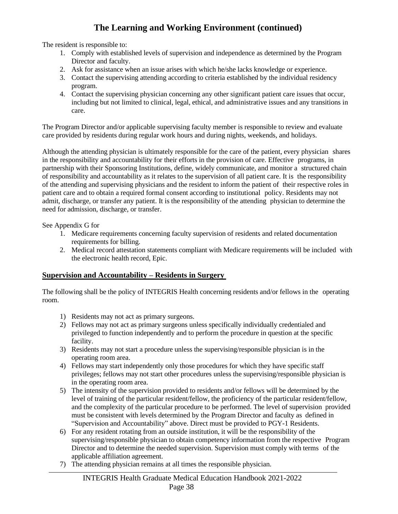The resident is responsible to:

- 1. Comply with established levels of supervision and independence as determined by the Program Director and faculty.
- 2. Ask for assistance when an issue arises with which he/she lacks knowledge or experience.
- 3. Contact the supervising attending according to criteria established by the individual residency program.
- 4. Contact the supervising physician concerning any other significant patient care issues that occur, including but not limited to clinical, legal, ethical, and administrative issues and any transitions in care.

The Program Director and/or applicable supervising faculty member is responsible to review and evaluate care provided by residents during regular work hours and during nights, weekends, and holidays.

Although the attending physician is ultimately responsible for the care of the patient, every physician shares in the responsibility and accountability for their efforts in the provision of care. Effective programs, in partnership with their Sponsoring Institutions, define, widely communicate, and monitor a structured chain of responsibility and accountability as it relates to the supervision of all patient care. It is the responsibility of the attending and supervising physicians and the resident to inform the patient of their respective roles in patient care and to obtain a required formal consent according to institutional policy. Residents may not admit, discharge, or transfer any patient. It is the responsibility of the attending physician to determine the need for admission, discharge, or transfer.

See Appendix G for

- 1. Medicare requirements concerning faculty supervision of residents and related documentation requirements for billing.
- 2. Medical record attestation statements compliant with Medicare requirements will be included with the electronic health record, Epic.

#### **Supervision and Accountability – Residents in Surgery**

The following shall be the policy of INTEGRIS Health concerning residents and/or fellows in the operating room.

- 1) Residents may not act as primary surgeons.
- 2) Fellows may not act as primary surgeons unless specifically individually credentialed and privileged to function independently and to perform the procedure in question at the specific facility.
- 3) Residents may not start a procedure unless the supervising/responsible physician is in the operating room area.
- 4) Fellows may start independently only those procedures for which they have specific staff privileges; fellows may not start other procedures unless the supervising/responsible physician is in the operating room area.
- 5) The intensity of the supervision provided to residents and/or fellows will be determined by the level of training of the particular resident/fellow, the proficiency of the particular resident/fellow, and the complexity of the particular procedure to be performed. The level of supervision provided must be consistent with levels determined by the Program Director and faculty as defined in "Supervision and Accountability" above. Direct must be provided to PGY-1 Residents.
- 6) For any resident rotating from an outside institution, it will be the responsibility of the supervising/responsible physician to obtain competency information from the respective Program Director and to determine the needed supervision. Supervision must comply with terms of the applicable affiliation agreement.
- 7) The attending physician remains at all times the responsible physician.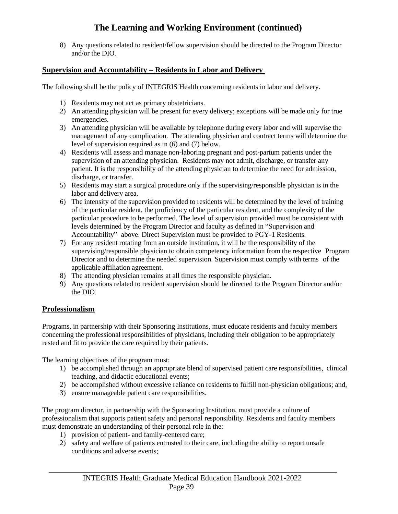8) Any questions related to resident/fellow supervision should be directed to the Program Director and/or the DIO.

#### **Supervision and Accountability – Residents in Labor and Delivery**

The following shall be the policy of INTEGRIS Health concerning residents in labor and delivery.

- 1) Residents may not act as primary obstetricians.
- 2) An attending physician will be present for every delivery; exceptions will be made only for true emergencies.
- 3) An attending physician will be available by telephone during every labor and will supervise the management of any complication. The attending physician and contract terms will determine the level of supervision required as in (6) and (7) below.
- 4) Residents will assess and manage non-laboring pregnant and post-partum patients under the supervision of an attending physician. Residents may not admit, discharge, or transfer any patient. It is the responsibility of the attending physician to determine the need for admission, discharge, or transfer.
- 5) Residents may start a surgical procedure only if the supervising/responsible physician is in the labor and delivery area.
- 6) The intensity of the supervision provided to residents will be determined by the level of training of the particular resident, the proficiency of the particular resident, and the complexity of the particular procedure to be performed. The level of supervision provided must be consistent with levels determined by the Program Director and faculty as defined in "Supervision and Accountability" above. Direct Supervision must be provided to PGY-1 Residents.
- 7) For any resident rotating from an outside institution, it will be the responsibility of the supervising/responsible physician to obtain competency information from the respective Program Director and to determine the needed supervision. Supervision must comply with terms of the applicable affiliation agreement.
- 8) The attending physician remains at all times the responsible physician.
- 9) Any questions related to resident supervision should be directed to the Program Director and/or the DIO.

#### **Professionalism**

Programs, in partnership with their Sponsoring Institutions, must educate residents and faculty members concerning the professional responsibilities of physicians, including their obligation to be appropriately rested and fit to provide the care required by their patients.

The learning objectives of the program must:

- 1) be accomplished through an appropriate blend of supervised patient care responsibilities, clinical teaching, and didactic educational events;
- 2) be accomplished without excessive reliance on residents to fulfill non-physician obligations; and,
- 3) ensure manageable patient care responsibilities.

The program director, in partnership with the Sponsoring Institution, must provide a culture of professionalism that supports patient safety and personal responsibility. Residents and faculty members must demonstrate an understanding of their personal role in the:

- 1) provision of patient- and family-centered care;
- 2) safety and welfare of patients entrusted to their care, including the ability to report unsafe conditions and adverse events;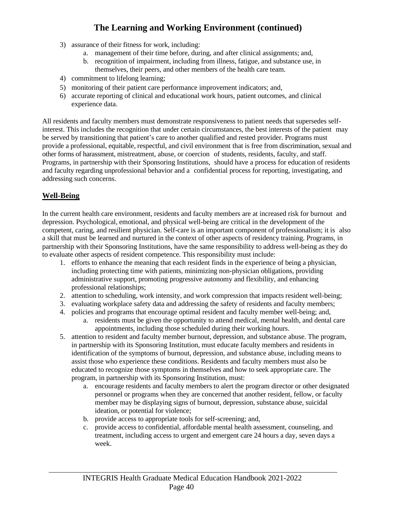- 3) assurance of their fitness for work, including:
	- a. management of their time before, during, and after clinical assignments; and,
	- b. recognition of impairment, including from illness, fatigue, and substance use, in themselves, their peers, and other members of the health care team.
- 4) commitment to lifelong learning;
- 5) monitoring of their patient care performance improvement indicators; and,
- 6) accurate reporting of clinical and educational work hours, patient outcomes, and clinical experience data.

All residents and faculty members must demonstrate responsiveness to patient needs that supersedes selfinterest. This includes the recognition that under certain circumstances, the best interests of the patient may be served by transitioning that patient's care to another qualified and rested provider. Programs must provide a professional, equitable, respectful, and civil environment that is free from discrimination, sexual and other forms of harassment, mistreatment, abuse, or coercion of students, residents, faculty, and staff. Programs, in partnership with their Sponsoring Institutions, should have a process for education of residents and faculty regarding unprofessional behavior and a confidential process for reporting, investigating, and addressing such concerns.

#### **Well-Being**

In the current health care environment, residents and faculty members are at increased risk for burnout and depression. Psychological, emotional, and physical well-being are critical in the development of the competent, caring, and resilient physician. Self-care is an important component of professionalism; it is also a skill that must be learned and nurtured in the context of other aspects of residency training. Programs, in partnership with their Sponsoring Institutions, have the same responsibility to address well-being as they do to evaluate other aspects of resident competence. This responsibility must include:

- 1. efforts to enhance the meaning that each resident finds in the experience of being a physician, including protecting time with patients, minimizing non-physician obligations, providing administrative support, promoting progressive autonomy and flexibility, and enhancing professional relationships;
- 2. attention to scheduling, work intensity, and work compression that impacts resident well-being;
- 3. evaluating workplace safety data and addressing the safety of residents and faculty members;
- 4. policies and programs that encourage optimal resident and faculty member well-being; and,
	- a. residents must be given the opportunity to attend medical, mental health, and dental care appointments, including those scheduled during their working hours.
- 5. attention to resident and faculty member burnout, depression, and substance abuse. The program, in partnership with its Sponsoring Institution, must educate faculty members and residents in identification of the symptoms of burnout, depression, and substance abuse, including means to assist those who experience these conditions. Residents and faculty members must also be educated to recognize those symptoms in themselves and how to seek appropriate care. The program, in partnership with its Sponsoring Institution, must:
	- a. encourage residents and faculty members to alert the program director or other designated personnel or programs when they are concerned that another resident, fellow, or faculty member may be displaying signs of burnout, depression, substance abuse, suicidal ideation, or potential for violence;
	- b. provide access to appropriate tools for self-screening; and,
	- c. provide access to confidential, affordable mental health assessment, counseling, and treatment, including access to urgent and emergent care 24 hours a day, seven days a week.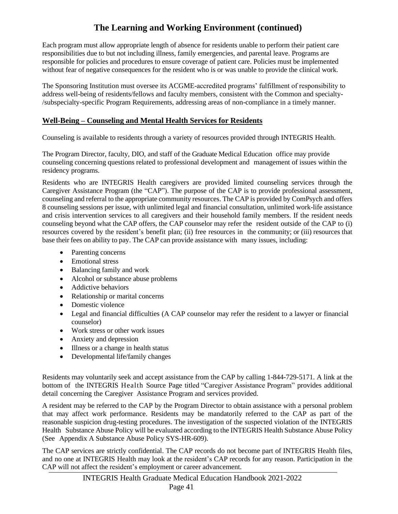Each program must allow appropriate length of absence for residents unable to perform their patient care responsibilities due to but not including illness, family emergencies, and parental leave. Programs are responsible for policies and procedures to ensure coverage of patient care. Policies must be implemented without fear of negative consequences for the resident who is or was unable to provide the clinical work.

The Sponsoring Institution must oversee its ACGME-accredited programs' fulfillment of responsibility to address well-being of residents/fellows and faculty members, consistent with the Common and specialty- /subspecialty-specific Program Requirements, addressing areas of non-compliance in a timely manner.

#### **Well-Being – Counseling and Mental Health Services for Residents**

Counseling is available to residents through a variety of resources provided through INTEGRIS Health.

The Program Director, faculty, DIO, and staff of the Graduate Medical Education office may provide counseling concerning questions related to professional development and management of issues within the residency programs.

Residents who are INTEGRIS Health caregivers are provided limited counseling services through the Caregiver Assistance Program (the "CAP"). The purpose of the CAP is to provide professional assessment, counseling and referral to the appropriate community resources. The CAP is provided by ComPsych and offers 8 counseling sessions per issue, with unlimited legal and financial consultation, unlimited work-life assistance and crisis intervention services to all caregivers and their household family members. If the resident needs counseling beyond what the CAP offers, the CAP counselor may refer the resident outside of the CAP to (i) resources covered by the resident's benefit plan; (ii) free resources in the community; or (iii) resources that base their fees on ability to pay. The CAP can provide assistance with many issues, including:

- Parenting concerns
- Emotional stress
- Balancing family and work
- Alcohol or substance abuse problems
- Addictive behaviors
- Relationship or marital concerns
- Domestic violence
- Legal and financial difficulties (A CAP counselor may refer the resident to a lawyer or financial counselor)
- Work stress or other work issues
- Anxiety and depression
- Illness or a change in health status
- Developmental life/family changes

Residents may voluntarily seek and accept assistance from the CAP by calling 1-844-729-5171. A link at the bottom of the INTEGRIS Health Source Page titled "Caregiver Assistance Program" provides additional detail concerning the Caregiver Assistance Program and services provided.

A resident may be referred to the CAP by the Program Director to obtain assistance with a personal problem that may affect work performance. Residents may be mandatorily referred to the CAP as part of the reasonable suspicion drug-testing procedures. The investigation of the suspected violation of the INTEGRIS Health Substance Abuse Policy will be evaluated according to the INTEGRIS Health Substance Abuse Policy (See Appendix A Substance Abuse Policy SYS-HR-609).

The CAP services are strictly confidential. The CAP records do not become part of INTEGRIS Health files, and no one at INTEGRIS Health may look at the resident's CAP records for any reason. Participation in the CAP will not affect the resident's employment or career advancement.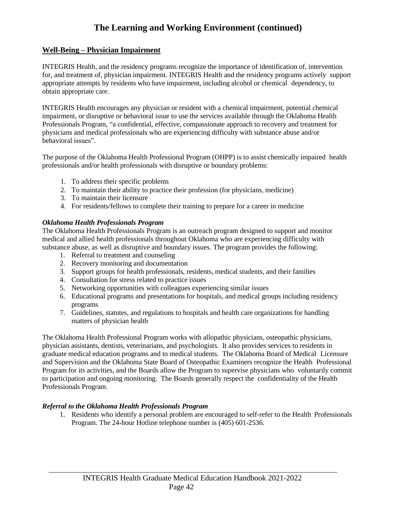#### **Well-Being – Physician Impairment**

INTEGRIS Health, and the residency programs recognize the importance of identification of, intervention for, and treatment of, physician impairment. INTEGRIS Health and the residency programs actively support appropriate attempts by residents who have impairment, including alcohol or chemical dependency, to obtain appropriate care.

INTEGRIS Health encourages any physician or resident with a chemical impairment, potential chemical impairment, or disruptive or behavioral issue to use the services available through the Oklahoma Health Professionals Program, "a confidential, effective, compassionate approach to recovery and treatment for physicians and medical professionals who are experiencing difficulty with substance abuse and/or behavioral issues".

The purpose of the Oklahoma Health Professional Program (OHPP) is to assist chemically impaired health professionals and/or health professionals with disruptive or boundary problems:

- 1. To address their specific problems
- 2. To maintain their ability to practice their profession (for physicians, medicine)
- 3. To maintain their licensure
- 4. For residents/fellows to complete their training to prepare for a career in medicine

#### *Oklahoma Health Professionals Program*

The Oklahoma Health Professionals Program is an outreach program designed to support and monitor medical and allied health professionals throughout Oklahoma who are experiencing difficulty with substance abuse, as well as disruptive and boundary issues. The program provides the following:

- 1. Referral to treatment and counseling
- 2. Recovery monitoring and documentation
- 3. Support groups for health professionals, residents, medical students, and their families
- 4. Consultation for stress related to practice issues
- 5. Networking opportunities with colleagues experiencing similar issues
- 6. Educational programs and presentations for hospitals, and medical groups including residency programs
- 7. Guidelines, statutes, and regulations to hospitals and health care organizations for handling matters of physician health

The Oklahoma Health Professional Program works with allopathic physicians, osteopathic physicians, physician assistants, dentists, veterinarians, and psychologists. It also provides services to residents in graduate medical education programs and to medical students. The Oklahoma Board of Medical Licensure and Supervision and the Oklahoma State Board of Osteopathic Examiners recognize the Health Professional Program for its activities, and the Boards allow the Program to supervise physicians who voluntarily commit to participation and ongoing monitoring. The Boards generally respect the confidentiality of the Health Professionals Program.

#### *Referral to the Oklahoma Health Professionals Program*

1. Residents who identify a personal problem are encouraged to self-refer to the Health Professionals Program. The 24-hour Hotline telephone number is (405) 601-2536.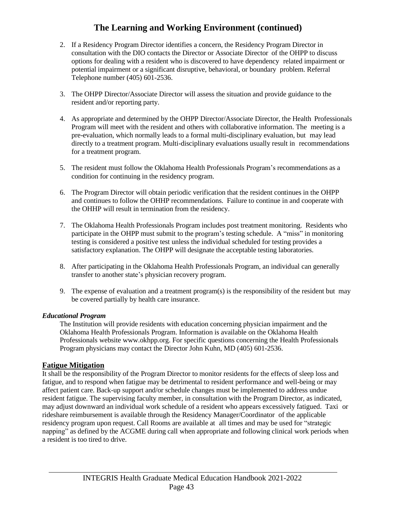- 2. If a Residency Program Director identifies a concern, the Residency Program Director in consultation with the DIO contacts the Director or Associate Director of the OHPP to discuss options for dealing with a resident who is discovered to have dependency related impairment or potential impairment or a significant disruptive, behavioral, or boundary problem. Referral Telephone number (405) 601-2536.
- 3. The OHPP Director/Associate Director will assess the situation and provide guidance to the resident and/or reporting party.
- 4. As appropriate and determined by the OHPP Director/Associate Director, the Health Professionals Program will meet with the resident and others with collaborative information. The meeting is a pre-evaluation, which normally leads to a formal multi-disciplinary evaluation, but may lead directly to a treatment program. Multi-disciplinary evaluations usually result in recommendations for a treatment program.
- 5. The resident must follow the Oklahoma Health Professionals Program's recommendations as a condition for continuing in the residency program.
- 6. The Program Director will obtain periodic verification that the resident continues in the OHPP and continues to follow the OHHP recommendations. Failure to continue in and cooperate with the OHHP will result in termination from the residency.
- 7. The Oklahoma Health Professionals Program includes post treatment monitoring. Residents who participate in the OHPP must submit to the program's testing schedule. A "miss" in monitoring testing is considered a positive test unless the individual scheduled for testing provides a satisfactory explanation. The OHPP will designate the acceptable testing laboratories.
- 8. After participating in the Oklahoma Health Professionals Program, an individual can generally transfer to another state's physician recovery program.
- 9. The expense of evaluation and a treatment program(s) is the responsibility of the resident but may be covered partially by health care insurance.

#### *Educational Program*

The Institution will provide residents with education concerning physician impairment and the Oklahoma Health Professionals Program. Information is available on the Oklahoma Health Professionals website [www.okhpp.org.](http://www.okhpp.org/) For specific questions concerning the Health Professionals Program physicians may contact the Director John Kuhn, MD (405) 601-2536.

#### **Fatigue Mitigation**

It shall be the responsibility of the Program Director to monitor residents for the effects of sleep loss and fatigue, and to respond when fatigue may be detrimental to resident performance and well-being or may affect patient care. Back-up support and/or schedule changes must be implemented to address undue resident fatigue. The supervising faculty member, in consultation with the Program Director, as indicated, may adjust downward an individual work schedule of a resident who appears excessively fatigued. Taxi or rideshare reimbursement is available through the Residency Manager/Coordinator of the applicable residency program upon request. Call Rooms are available at all times and may be used for "strategic napping" as defined by the ACGME during call when appropriate and following clinical work periods when a resident is too tired to drive.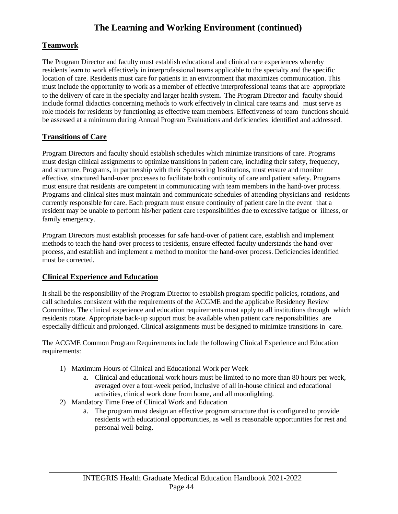#### **Teamwork**

The Program Director and faculty must establish educational and clinical care experiences whereby residents learn to work effectively in interprofessional teams applicable to the specialty and the specific location of care. Residents must care for patients in an environment that maximizes communication. This must include the opportunity to work as a member of effective interprofessional teams that are appropriate to the delivery of care in the specialty and larger health system. The Program Director and faculty should include formal didactics concerning methods to work effectively in clinical care teams and must serve as role models for residents by functioning as effective team members. Effectiveness of team functions should be assessed at a minimum during Annual Program Evaluations and deficiencies identified and addressed.

#### **Transitions of Care**

Program Directors and faculty should establish schedules which minimize transitions of care. Programs must design clinical assignments to optimize transitions in patient care, including their safety, frequency, and structure. Programs, in partnership with their Sponsoring Institutions, must ensure and monitor effective, structured hand-over processes to facilitate both continuity of care and patient safety. Programs must ensure that residents are competent in communicating with team members in the hand-over process. Programs and clinical sites must maintain and communicate schedules of attending physicians and residents currently responsible for care. Each program must ensure continuity of patient care in the event that a resident may be unable to perform his/her patient care responsibilities due to excessive fatigue or illness, or family emergency.

Program Directors must establish processes for safe hand-over of patient care, establish and implement methods to teach the hand-over process to residents, ensure effected faculty understands the hand-over process, and establish and implement a method to monitor the hand-over process. Deficiencies identified must be corrected.

#### **Clinical Experience and Education**

It shall be the responsibility of the Program Director to establish program specific policies, rotations, and call schedules consistent with the requirements of the ACGME and the applicable Residency Review Committee. The clinical experience and education requirements must apply to all institutions through which residents rotate. Appropriate back-up support must be available when patient care responsibilities are especially difficult and prolonged. Clinical assignments must be designed to minimize transitions in care.

The ACGME Common Program Requirements include the following Clinical Experience and Education requirements:

- 1) Maximum Hours of Clinical and Educational Work per Week
	- a. Clinical and educational work hours must be limited to no more than 80 hours per week, averaged over a four-week period, inclusive of all in-house clinical and educational activities, clinical work done from home, and all moonlighting.
- 2) Mandatory Time Free of Clinical Work and Education
	- a. The program must design an effective program structure that is configured to provide residents with educational opportunities, as well as reasonable opportunities for rest and personal well-being.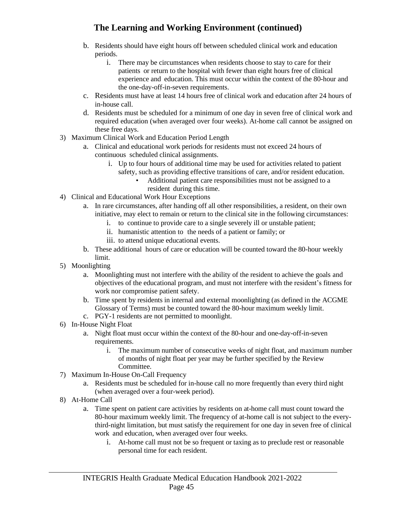- b. Residents should have eight hours off between scheduled clinical work and education periods.
	- i. There may be circumstances when residents choose to stay to care for their patients or return to the hospital with fewer than eight hours free of clinical experience and education. This must occur within the context of the 80-hour and the one-day-off-in-seven requirements.
- c. Residents must have at least 14 hours free of clinical work and education after 24 hours of in-house call.
- d. Residents must be scheduled for a minimum of one day in seven free of clinical work and required education (when averaged over four weeks). At-home call cannot be assigned on these free days.
- 3) Maximum Clinical Work and Education Period Length
	- a. Clinical and educational work periods for residents must not exceed 24 hours of continuous scheduled clinical assignments.
		- i. Up to four hours of additional time may be used for activities related to patient safety, such as providing effective transitions of care, and/or resident education.
			- Additional patient care responsibilities must not be assigned to a resident during this time.
- 4) Clinical and Educational Work Hour Exceptions
	- a. In rare circumstances, after handing off all other responsibilities, a resident, on their own initiative, may elect to remain or return to the clinical site in the following circumstances:
		- i. to continue to provide care to a single severely ill or unstable patient;
		- ii. humanistic attention to the needs of a patient or family; or
		- iii. to attend unique educational events.
	- b. These additional hours of care or education will be counted toward the 80-hour weekly limit.
- 5) Moonlighting
	- a. Moonlighting must not interfere with the ability of the resident to achieve the goals and objectives of the educational program, and must not interfere with the resident's fitness for work nor compromise patient safety.
	- b. Time spent by residents in internal and external moonlighting (as defined in the ACGME Glossary of Terms) must be counted toward the 80-hour maximum weekly limit.
	- c. PGY-1 residents are not permitted to moonlight.
- 6) In-House Night Float
	- a. Night float must occur within the context of the 80-hour and one-day-off-in-seven requirements.
		- i. The maximum number of consecutive weeks of night float, and maximum number of months of night float per year may be further specified by the Review Committee.
- 7) Maximum In-House On-Call Frequency
	- a. Residents must be scheduled for in-house call no more frequently than every third night (when averaged over a four-week period).
- 8) At-Home Call
	- a. Time spent on patient care activities by residents on at-home call must count toward the 80-hour maximum weekly limit. The frequency of at-home call is not subject to the everythird-night limitation, but must satisfy the requirement for one day in seven free of clinical work and education, when averaged over four weeks.
		- i. At-home call must not be so frequent or taxing as to preclude rest or reasonable personal time for each resident.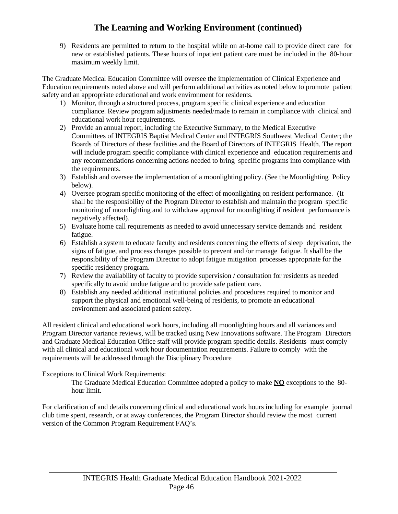9) Residents are permitted to return to the hospital while on at-home call to provide direct care for new or established patients. These hours of inpatient patient care must be included in the 80-hour maximum weekly limit.

The Graduate Medical Education Committee will oversee the implementation of Clinical Experience and Education requirements noted above and will perform additional activities as noted below to promote patient safety and an appropriate educational and work environment for residents.

- 1) Monitor, through a structured process, program specific clinical experience and education compliance. Review program adjustments needed/made to remain in compliance with clinical and educational work hour requirements.
- 2) Provide an annual report, including the Executive Summary, to the Medical Executive Committees of INTEGRIS Baptist Medical Center and INTEGRIS Southwest Medical Center; the Boards of Directors of these facilities and the Board of Directors of INTEGRIS Health. The report will include program specific compliance with clinical experience and education requirements and any recommendations concerning actions needed to bring specific programs into compliance with the requirements.
- 3) Establish and oversee the implementation of a moonlighting policy. (See the Moonlighting Policy below).
- 4) Oversee program specific monitoring of the effect of moonlighting on resident performance. (It shall be the responsibility of the Program Director to establish and maintain the program specific monitoring of moonlighting and to withdraw approval for moonlighting if resident performance is negatively affected).
- 5) Evaluate home call requirements as needed to avoid unnecessary service demands and resident fatigue.
- 6) Establish a system to educate faculty and residents concerning the effects of sleep deprivation, the signs of fatigue, and process changes possible to prevent and /or manage fatigue. It shall be the responsibility of the Program Director to adopt fatigue mitigation processes appropriate for the specific residency program.
- 7) Review the availability of faculty to provide supervision / consultation for residents as needed specifically to avoid undue fatigue and to provide safe patient care.
- 8) Establish any needed additional institutional policies and procedures required to monitor and support the physical and emotional well-being of residents, to promote an educational environment and associated patient safety.

All resident clinical and educational work hours, including all moonlighting hours and all variances and Program Director variance reviews, will be tracked using New Innovations software. The Program Directors and Graduate Medical Education Office staff will provide program specific details. Residents must comply with all clinical and educational work hour documentation requirements. Failure to comply with the requirements will be addressed through the Disciplinary Procedure

#### Exceptions to Clinical Work Requirements:

The Graduate Medical Education Committee adopted a policy to make **NO** exceptions to the 80 hour limit.

For clarification of and details concerning clinical and educational work hours including for example journal club time spent, research, or at away conferences, the Program Director should review the most current version of the Common Program Requirement FAQ's.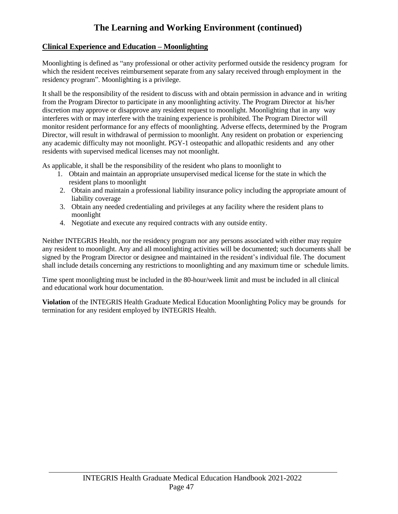#### **Clinical Experience and Education – Moonlighting**

Moonlighting is defined as "any professional or other activity performed outside the residency program for which the resident receives reimbursement separate from any salary received through employment in the residency program". Moonlighting is a privilege.

It shall be the responsibility of the resident to discuss with and obtain permission in advance and in writing from the Program Director to participate in any moonlighting activity. The Program Director at his/her discretion may approve or disapprove any resident request to moonlight. Moonlighting that in any way interferes with or may interfere with the training experience is prohibited. The Program Director will monitor resident performance for any effects of moonlighting. Adverse effects, determined by the Program Director, will result in withdrawal of permission to moonlight. Any resident on probation or experiencing any academic difficulty may not moonlight. PGY-1 osteopathic and allopathic residents and any other residents with supervised medical licenses may not moonlight.

As applicable, it shall be the responsibility of the resident who plans to moonlight to

- 1. Obtain and maintain an appropriate unsupervised medical license for the state in which the resident plans to moonlight
- 2. Obtain and maintain a professional liability insurance policy including the appropriate amount of liability coverage
- 3. Obtain any needed credentialing and privileges at any facility where the resident plans to moonlight
- 4. Negotiate and execute any required contracts with any outside entity.

Neither INTEGRIS Health, nor the residency program nor any persons associated with either may require any resident to moonlight. Any and all moonlighting activities will be documented; such documents shall be signed by the Program Director or designee and maintained in the resident's individual file. The document shall include details concerning any restrictions to moonlighting and any maximum time or schedule limits.

Time spent moonlighting must be included in the 80-hour/week limit and must be included in all clinical and educational work hour documentation.

**Violation** of the INTEGRIS Health Graduate Medical Education Moonlighting Policy may be grounds for termination for any resident employed by INTEGRIS Health.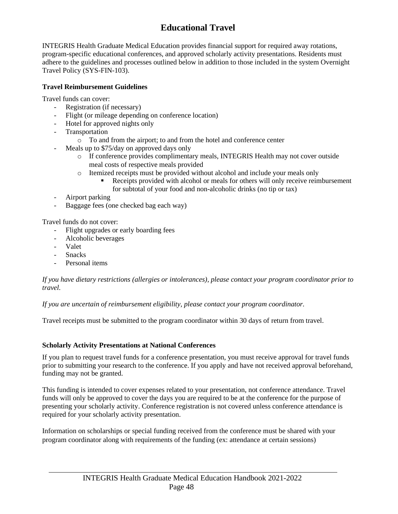## **Educational Travel**

INTEGRIS Health Graduate Medical Education provides financial support for required away rotations, program-specific educational conferences, and approved scholarly activity presentations. Residents must adhere to the guidelines and processes outlined below in addition to those included in the system Overnight Travel Policy (SYS-FIN-103).

#### **Travel Reimbursement Guidelines**

Travel funds can cover:

- Registration (if necessary)
- Flight (or mileage depending on conference location)
- Hotel for approved nights only
- Transportation
	- o To and from the airport; to and from the hotel and conference center
- Meals up to \$75/day on approved days only
	- o If conference provides complimentary meals, INTEGRIS Health may not cover outside meal costs of respective meals provided
	- o Itemized receipts must be provided without alcohol and include your meals only
		- Receipts provided with alcohol or meals for others will only receive reimbursement for subtotal of your food and non-alcoholic drinks (no tip or tax)
- Airport parking
- Baggage fees (one checked bag each way)

Travel funds do not cover:

- Flight upgrades or early boarding fees
- Alcoholic beverages
- Valet
- **Snacks**
- Personal items

*If you have dietary restrictions (allergies or intolerances), please contact your program coordinator prior to travel.*

*If you are uncertain of reimbursement eligibility, please contact your program coordinator.* 

Travel receipts must be submitted to the program coordinator within 30 days of return from travel.

#### **Scholarly Activity Presentations at National Conferences**

If you plan to request travel funds for a conference presentation, you must receive approval for travel funds prior to submitting your research to the conference. If you apply and have not received approval beforehand, funding may not be granted.

This funding is intended to cover expenses related to your presentation, not conference attendance. Travel funds will only be approved to cover the days you are required to be at the conference for the purpose of presenting your scholarly activity. Conference registration is not covered unless conference attendance is required for your scholarly activity presentation.

Information on scholarships or special funding received from the conference must be shared with your program coordinator along with requirements of the funding (ex: attendance at certain sessions)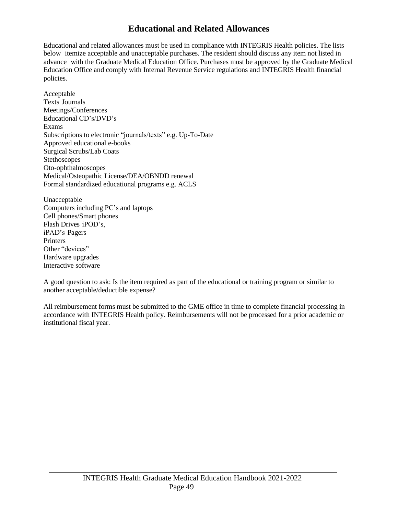### **Educational and Related Allowances**

Educational and related allowances must be used in compliance with INTEGRIS Health policies. The lists below itemize acceptable and unacceptable purchases. The resident should discuss any item not listed in advance with the Graduate Medical Education Office. Purchases must be approved by the Graduate Medical Education Office and comply with Internal Revenue Service regulations and INTEGRIS Health financial policies.

Acceptable Texts Journals Meetings/Conferences Educational CD's/DVD's Exams Subscriptions to electronic "journals/texts" e.g. Up-To-Date Approved educational e-books Surgical Scrubs/Lab Coats Stethoscopes Oto-ophthalmoscopes Medical/Osteopathic License/DEA/OBNDD renewal Formal standardized educational programs e.g. ACLS

Unacceptable Computers including PC's and laptops Cell phones/Smart phones Flash Drives iPOD's, iPAD's Pagers **Printers** Other "devices" Hardware upgrades Interactive software

A good question to ask: Is the item required as part of the educational or training program or similar to another acceptable/deductible expense?

All reimbursement forms must be submitted to the GME office in time to complete financial processing in accordance with INTEGRIS Health policy. Reimbursements will not be processed for a prior academic or institutional fiscal year.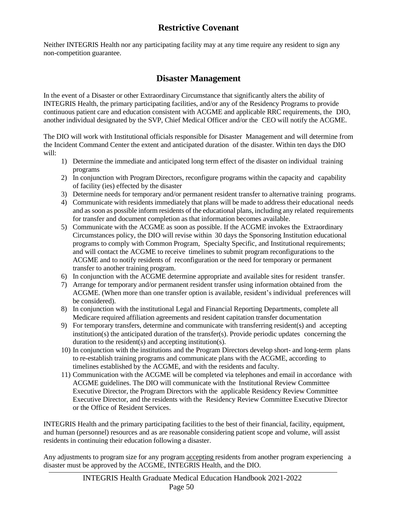## **Restrictive Covenant**

Neither INTEGRIS Health nor any participating facility may at any time require any resident to sign any non-competition guarantee.

### **Disaster Management**

In the event of a Disaster or other Extraordinary Circumstance that significantly alters the ability of INTEGRIS Health, the primary participating facilities, and/or any of the Residency Programs to provide continuous patient care and education consistent with ACGME and applicable RRC requirements, the DIO, another individual designated by the SVP, Chief Medical Officer and/or the CEO will notify the ACGME.

The DIO will work with Institutional officials responsible for Disaster Management and will determine from the Incident Command Center the extent and anticipated duration of the disaster. Within ten days the DIO will:

- 1) Determine the immediate and anticipated long term effect of the disaster on individual training programs
- 2) In conjunction with Program Directors, reconfigure programs within the capacity and capability of facility (ies) effected by the disaster
- 3) Determine needs for temporary and/or permanent resident transfer to alternative training programs.
- 4) Communicate with residents immediately that plans will be made to address their educational needs and assoon as possible inform residents of the educational plans, including any related requirements for transfer and document completion as that information becomes available.
- 5) Communicate with the ACGME as soon as possible. If the ACGME invokes the Extraordinary Circumstances policy, the DIO will revise within 30 days the Sponsoring Institution educational programs to comply with Common Program, Specialty Specific, and Institutional requirements; and will contact the ACGME to receive timelines to submit program reconfigurations to the ACGME and to notify residents of reconfiguration or the need for temporary or permanent transfer to another training program.
- 6) In conjunction with the ACGME determine appropriate and available sites for resident transfer.
- 7) Arrange for temporary and/or permanent resident transfer using information obtained from the ACGME. (When more than one transfer option is available, resident's individual preferences will be considered).
- 8) In conjunction with the institutional Legal and Financial Reporting Departments, complete all Medicare required affiliation agreements and resident capitation transfer documentation
- 9) For temporary transfers, determine and communicate with transferring resident(s) and accepting institution(s) the anticipated duration of the transfer(s). Provide periodic updates concerning the duration to the resident(s) and accepting institution(s).
- 10) In conjunction with the institutions and the Program Directors develop short- and long-term plans to re-establish training programs and communicate plans with the ACGME, according to timelines established by the ACGME, and with the residents and faculty.
- 11) Communication with the ACGME will be completed via telephones and email in accordance with ACGME guidelines. The DIO will communicate with the Institutional Review Committee Executive Director, the Program Directors with the applicable Residency Review Committee Executive Director, and the residents with the Residency Review Committee Executive Director or the Office of Resident Services.

INTEGRIS Health and the primary participating facilities to the best of their financial, facility, equipment, and human (personnel) resources and as are reasonable considering patient scope and volume, will assist residents in continuing their education following a disaster.

Any adjustments to program size for any program accepting residents from another program experiencing a disaster must be approved by the ACGME, INTEGRIS Health*,* and the DIO.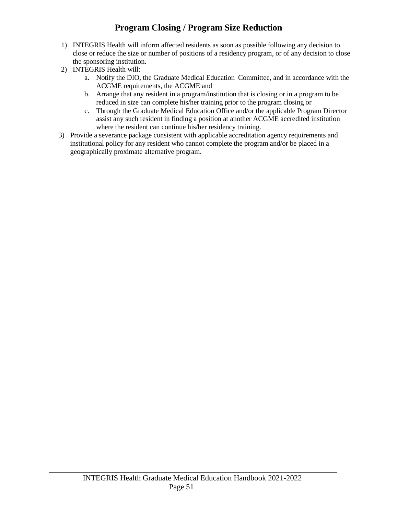## **Program Closing / Program Size Reduction**

- 1) INTEGRIS Health will inform affected residents as soon as possible following any decision to close or reduce the size or number of positions of a residency program, or of any decision to close the sponsoring institution.
- 2) INTEGRIS Health will:
	- a. Notify the DIO, the Graduate Medical Education Committee, and in accordance with the ACGME requirements, the ACGME and
	- b. Arrange that any resident in a program/institution that is closing or in a program to be reduced in size can complete his/her training prior to the program closing or
	- c. Through the Graduate Medical Education Office and/or the applicable Program Director assist any such resident in finding a position at another ACGME accredited institution where the resident can continue his/her residency training.
- 3) Provide a severance package consistent with applicable accreditation agency requirements and institutional policy for any resident who cannot complete the program and/or be placed in a geographically proximate alternative program.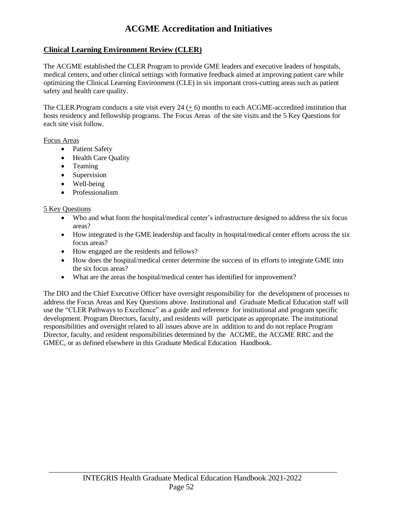## **ACGME Accreditation and Initiatives**

#### **Clinical Learning Environment Review (CLER)**

The ACGME established the CLER Program to provide GME leaders and executive leaders of hospitals, medical centers, and other clinical settings with formative feedback aimed at improving patient care while optimizing the Clinical Learning Environment (CLE) in six important cross-cutting areas such as patient safety and health care quality.

The CLER Program conducts a site visit every  $24 (+ 6)$  months to each ACGME-accredited institution that hosts residency and fellowship programs. The Focus Areas of the site visits and the 5 Key Questions for each site visit follow.

#### Focus Areas

- Patient Safety
- Health Care Quality
- Teaming
- Supervision
- Well-being
- Professionalism

#### 5 Key Questions

- Who and what form the hospital/medical center's infrastructure designed to address the six focus areas?
- How integrated is the GME leadership and faculty in hospital/medical center efforts across the six focus areas?
- How engaged are the residents and fellows?
- How does the hospital/medical center determine the success of its efforts to integrate GME into the six focus areas?
- What are the areas the hospital/medical center has identified for improvement?

The DIO and the Chief Executive Officer have oversight responsibility for the development of processes to address the Focus Areas and Key Questions above. Institutional and Graduate Medical Education staff will use the "CLER Pathways to Excellence" as a guide and reference for institutional and program specific development. Program Directors, faculty, and residents will participate as appropriate. The institutional responsibilities and oversight related to all issues above are in addition to and do not replace Program Director, faculty, and resident responsibilities determined by the ACGME, the ACGME RRC and the GMEC, or as defined elsewhere in this Graduate Medical Education Handbook.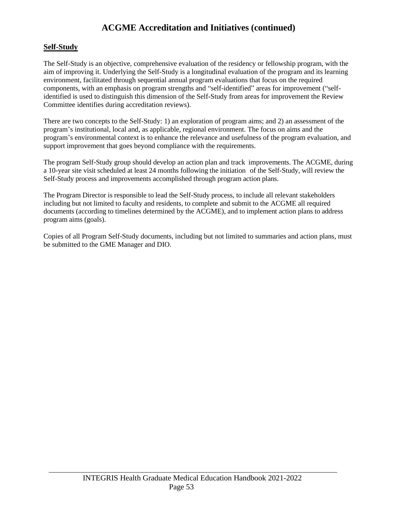## **ACGME Accreditation and Initiatives (continued)**

#### **Self-Study**

The Self-Study is an objective, comprehensive evaluation of the residency or fellowship program, with the aim of improving it. Underlying the Self-Study is a longitudinal evaluation of the program and its learning environment, facilitated through sequential annual program evaluations that focus on the required components, with an emphasis on program strengths and "self-identified" areas for improvement ("selfidentified is used to distinguish this dimension of the Self-Study from areas for improvement the Review Committee identifies during accreditation reviews).

There are two concepts to the Self-Study: 1) an exploration of program aims; and 2) an assessment of the program's institutional, local and, as applicable, regional environment. The focus on aims and the program's environmental context is to enhance the relevance and usefulness of the program evaluation, and support improvement that goes beyond compliance with the requirements.

The program Self-Study group should develop an action plan and track improvements. The ACGME, during a 10-year site visit scheduled at least 24 months following the initiation of the Self-Study, will review the Self-Study process and improvements accomplished through program action plans.

The Program Director is responsible to lead the Self-Study process, to include all relevant stakeholders including but not limited to faculty and residents, to complete and submit to the ACGME all required documents (according to timelines determined by the ACGME), and to implement action plans to address program aims (goals).

Copies of all Program Self-Study documents, including but not limited to summaries and action plans, must be submitted to the GME Manager and DIO.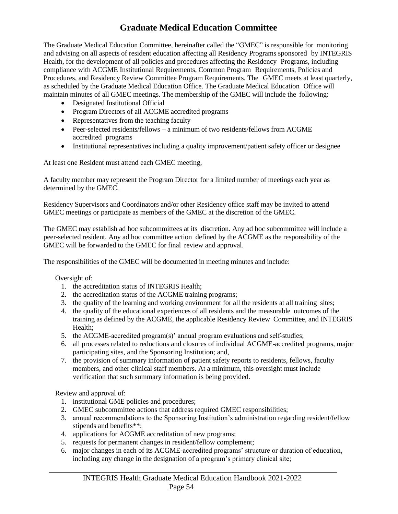## **Graduate Medical Education Committee**

The Graduate Medical Education Committee, hereinafter called the "GMEC" is responsible for monitoring and advising on all aspects of resident education affecting all Residency Programs sponsored by INTEGRIS Health, for the development of all policies and procedures affecting the Residency Programs, including compliance with ACGME Institutional Requirements, Common Program Requirements, Policies and Procedures, and Residency Review Committee Program Requirements. The GMEC meets at least quarterly, as scheduled by the Graduate Medical Education Office. The Graduate Medical Education Office will maintain minutes of all GMEC meetings. The membership of the GMEC will include the following:

- Designated Institutional Official
- Program Directors of all ACGME accredited programs
- Representatives from the teaching faculty
- Peer-selected residents/fellows a minimum of two residents/fellows from ACGME accredited programs
- Institutional representatives including a quality improvement/patient safety officer or designee

At least one Resident must attend each GMEC meeting,

A faculty member may represent the Program Director for a limited number of meetings each year as determined by the GMEC.

Residency Supervisors and Coordinators and/or other Residency office staff may be invited to attend GMEC meetings or participate as members of the GMEC at the discretion of the GMEC.

The GMEC may establish ad hoc subcommittees at its discretion. Any ad hoc subcommittee will include a peer-selected resident. Any ad hoc committee action defined by the ACGME as the responsibility of the GMEC will be forwarded to the GMEC for final review and approval.

The responsibilities of the GMEC will be documented in meeting minutes and include:

Oversight of:

- 1. the accreditation status of INTEGRIS Health;
- 2. the accreditation status of the ACGME training programs;
- 3. the quality of the learning and working environment for all the residents at all training sites;
- 4. the quality of the educational experiences of all residents and the measurable outcomes of the training as defined by the ACGME, the applicable Residency Review Committee, and INTEGRIS Health;
- 5. the ACGME-accredited program(s)' annual program evaluations and self-studies;
- 6. all processes related to reductions and closures of individual ACGME-accredited programs, major participating sites, and the Sponsoring Institution; and,
- 7. the provision of summary information of patient safety reports to residents, fellows, faculty members, and other clinical staff members. At a minimum, this oversight must include verification that such summary information is being provided.

Review and approval of:

- 1. institutional GME policies and procedures;
- 2. GMEC subcommittee actions that address required GMEC responsibilities;
- 3. annual recommendations to the Sponsoring Institution's administration regarding resident/fellow stipends and benefits\*\*;
- 4. applications for ACGME accreditation of new programs;
- 5. requests for permanent changes in resident/fellow complement;
- 6. major changes in each of its ACGME-accredited programs' structure or duration of education, including any change in the designation of a program's primary clinical site;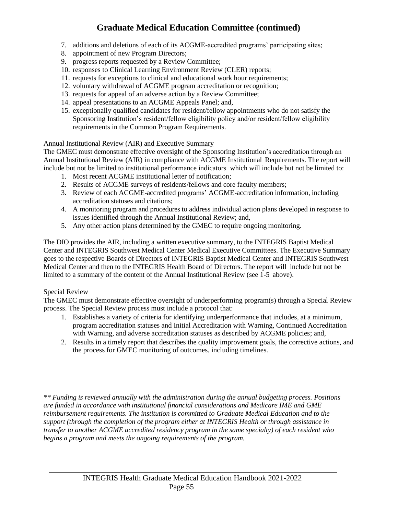## **Graduate Medical Education Committee (continued)**

- 7. additions and deletions of each of its ACGME-accredited programs' participating sites;
- 8. appointment of new Program Directors;
- 9. progress reports requested by a Review Committee;
- 10. responses to Clinical Learning Environment Review (CLER) reports;
- 11. requests for exceptions to clinical and educational work hour requirements;
- 12. voluntary withdrawal of ACGME program accreditation or recognition;
- 13. requests for appeal of an adverse action by a Review Committee;
- 14. appeal presentations to an ACGME Appeals Panel; and,
- 15. exceptionally qualified candidates for resident/fellow appointments who do not satisfy the Sponsoring Institution's resident/fellow eligibility policy and/or resident/fellow eligibility requirements in the Common Program Requirements.

#### Annual Institutional Review (AIR) and Executive Summary

The GMEC must demonstrate effective oversight of the Sponsoring Institution's accreditation through an Annual Institutional Review (AIR) in compliance with ACGME Institutional Requirements. The report will include but not be limited to institutional performance indicators which will include but not be limited to:

- 1. Most recent ACGME institutional letter of notification;
- 2. Results of ACGME surveys of residents/fellows and core faculty members;
- 3. Review of each ACGME-accredited programs' ACGME-accreditation information, including accreditation statuses and citations;
- 4. A monitoring program and procedures to address individual action plans developed in response to issues identified through the Annual Institutional Review; and,
- 5. Any other action plans determined by the GMEC to require ongoing monitoring.

The DIO provides the AIR, including a written executive summary, to the INTEGRIS Baptist Medical Center and INTEGRIS Southwest Medical Center Medical Executive Committees. The Executive Summary goes to the respective Boards of Directors of INTEGRIS Baptist Medical Center and INTEGRIS Southwest Medical Center and then to the INTEGRIS Health Board of Directors. The report will include but not be limited to a summary of the content of the Annual Institutional Review (see 1-5 above).

#### Special Review

The GMEC must demonstrate effective oversight of underperforming program(s) through a Special Review process. The Special Review process must include a protocol that:

- 1. Establishes a variety of criteria for identifying underperformance that includes, at a minimum, program accreditation statuses and Initial Accreditation with Warning, Continued Accreditation with Warning, and adverse accreditation statuses as described by ACGME policies; and,
- 2. Results in a timely report that describes the quality improvement goals, the corrective actions, and the process for GMEC monitoring of outcomes, including timelines.

*\*\* Funding is reviewed annually with the administration during the annual budgeting process. Positions are funded in accordance with institutional financial considerations and Medicare IME and GME reimbursement requirements. The institution is committed to Graduate Medical Education and to the support (through the completion of the program either at INTEGRIS Health or through assistance in transfer to another ACGME accredited residency program in the same specialty) of each resident who begins a program and meets the ongoing requirements of the program.*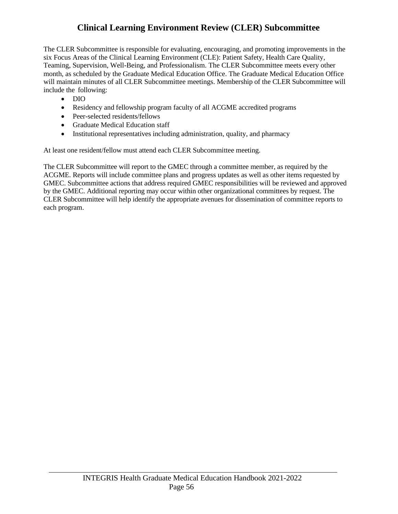## **Clinical Learning Environment Review (CLER) Subcommittee**

The CLER Subcommittee is responsible for evaluating, encouraging, and promoting improvements in the six Focus Areas of the Clinical Learning Environment (CLE): Patient Safety, Health Care Quality, Teaming, Supervision, Well-Being, and Professionalism. The CLER Subcommittee meets every other month, as scheduled by the Graduate Medical Education Office. The Graduate Medical Education Office will maintain minutes of all CLER Subcommittee meetings. Membership of the CLER Subcommittee will include the following:

- DIO
- Residency and fellowship program faculty of all ACGME accredited programs
- Peer-selected residents/fellows
- Graduate Medical Education staff
- Institutional representatives including administration, quality, and pharmacy

At least one resident/fellow must attend each CLER Subcommittee meeting.

The CLER Subcommittee will report to the GMEC through a committee member, as required by the ACGME. Reports will include committee plans and progress updates as well as other items requested by GMEC. Subcommittee actions that address required GMEC responsibilities will be reviewed and approved by the GMEC. Additional reporting may occur within other organizational committees by request. The CLER Subcommittee will help identify the appropriate avenues for dissemination of committee reports to each program.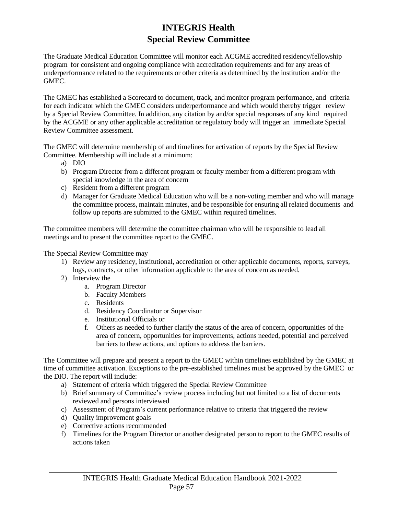## **INTEGRIS Health Special Review Committee**

The Graduate Medical Education Committee will monitor each ACGME accredited residency/fellowship program for consistent and ongoing compliance with accreditation requirements and for any areas of underperformance related to the requirements or other criteria as determined by the institution and/or the GMEC.

The GMEC has established a Scorecard to document, track, and monitor program performance, and criteria for each indicator which the GMEC considers underperformance and which would thereby trigger review by a Special Review Committee. In addition, any citation by and/or special responses of any kind required by the ACGME or any other applicable accreditation or regulatory body will trigger an immediate Special Review Committee assessment.

The GMEC will determine membership of and timelines for activation of reports by the Special Review Committee. Membership will include at a minimum:

- a) DIO
- b) Program Director from a different program or faculty member from a different program with special knowledge in the area of concern
- c) Resident from a different program
- d) Manager for Graduate Medical Education who will be a non-voting member and who will manage the committee process, maintain minutes, and be responsible for ensuring all related documents and follow up reports are submitted to the GMEC within required timelines.

The committee members will determine the committee chairman who will be responsible to lead all meetings and to present the committee report to the GMEC.

The Special Review Committee may

- 1) Review any residency, institutional, accreditation or other applicable documents, reports, surveys, logs, contracts, or other information applicable to the area of concern as needed.
- 2) Interview the
	- a. Program Director
	- b. Faculty Members
	- c. Residents
	- d. Residency Coordinator or Supervisor
	- e. Institutional Officials or
	- f. Others as needed to further clarify the status of the area of concern, opportunities of the area of concern, opportunities for improvements, actions needed, potential and perceived barriers to these actions, and options to address the barriers.

The Committee will prepare and present a report to the GMEC within timelines established by the GMEC at time of committee activation. Exceptions to the pre-established timelines must be approved by the GMEC or the DIO. The report will include:

- a) Statement of criteria which triggered the Special Review Committee
- b) Brief summary of Committee's review process including but not limited to a list of documents reviewed and persons interviewed
- c) Assessment of Program's current performance relative to criteria that triggered the review
- d) Quality improvement goals
- e) Corrective actions recommended
- f) Timelines for the Program Director or another designated person to report to the GMEC results of actions taken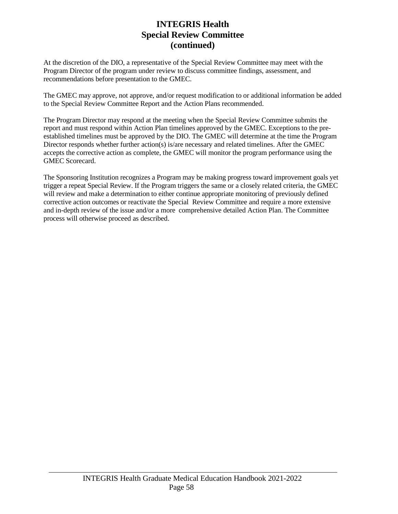### **INTEGRIS Health Special Review Committee (continued)**

At the discretion of the DIO, a representative of the Special Review Committee may meet with the Program Director of the program under review to discuss committee findings, assessment, and recommendations before presentation to the GMEC.

The GMEC may approve, not approve, and/or request modification to or additional information be added to the Special Review Committee Report and the Action Plans recommended.

The Program Director may respond at the meeting when the Special Review Committee submits the report and must respond within Action Plan timelines approved by the GMEC. Exceptions to the preestablished timelines must be approved by the DIO. The GMEC will determine at the time the Program Director responds whether further action(s) is/are necessary and related timelines. After the GMEC accepts the corrective action as complete, the GMEC will monitor the program performance using the GMEC Scorecard.

The Sponsoring Institution recognizes a Program may be making progress toward improvement goals yet trigger a repeat Special Review. If the Program triggers the same or a closely related criteria, the GMEC will review and make a determination to either continue appropriate monitoring of previously defined corrective action outcomes or reactivate the Special Review Committee and require a more extensive and in-depth review of the issue and/or a more comprehensive detailed Action Plan. The Committee process will otherwise proceed as described.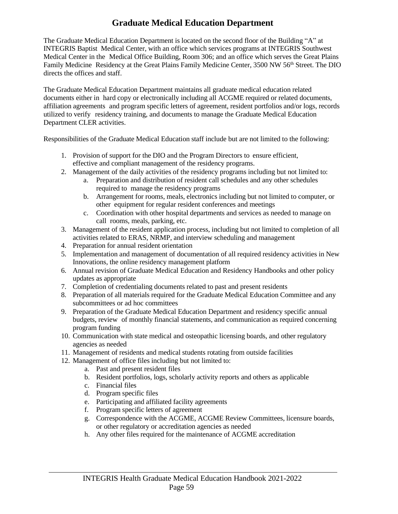## **Graduate Medical Education Department**

The Graduate Medical Education Department is located on the second floor of the Building "A" at INTEGRIS Baptist Medical Center, with an office which services programs at INTEGRIS Southwest Medical Center in the Medical Office Building, Room 306; and an office which serves the Great Plains Family Medicine Residency at the Great Plains Family Medicine Center, 3500 NW 56<sup>th</sup> Street. The DIO directs the offices and staff.

The Graduate Medical Education Department maintains all graduate medical education related documents either in hard copy or electronically including all ACGME required or related documents, affiliation agreements and program specific letters of agreement, resident portfolios and/or logs, records utilized to verify residency training, and documents to manage the Graduate Medical Education Department CLER activities.

Responsibilities of the Graduate Medical Education staff include but are not limited to the following:

- 1. Provision of support for the DIO and the Program Directors to ensure efficient, effective and compliant management of the residency programs.
- 2. Management of the daily activities of the residency programs including but not limited to:
	- a. Preparation and distribution of resident call schedules and any other schedules required to manage the residency programs
	- b. Arrangement for rooms, meals, electronics including but not limited to computer, or other equipment for regular resident conferences and meetings
	- c. Coordination with other hospital departments and services as needed to manage on call rooms, meals, parking, etc.
- 3. Management of the resident application process, including but not limited to completion of all activities related to ERAS, NRMP, and interview scheduling and management
- 4. Preparation for annual resident orientation
- 5. Implementation and management of documentation of all required residency activities in New Innovations, the online residency management platform
- 6. Annual revision of Graduate Medical Education and Residency Handbooks and other policy updates as appropriate
- 7. Completion of credentialing documents related to past and present residents
- 8. Preparation of all materials required for the Graduate Medical Education Committee and any subcommittees or ad hoc committees
- 9. Preparation of the Graduate Medical Education Department and residency specific annual budgets, review of monthly financial statements, and communication as required concerning program funding
- 10. Communication with state medical and osteopathic licensing boards, and other regulatory agencies as needed
- 11. Management of residents and medical students rotating from outside facilities
- 12. Management of office files including but not limited to:
	- a. Past and present resident files
	- b. Resident portfolios, logs, scholarly activity reports and others as applicable
	- c. Financial files
	- d. Program specific files
	- e. Participating and affiliated facility agreements
	- f. Program specific letters of agreement
	- g. Correspondence with the ACGME, ACGME Review Committees, licensure boards, or other regulatory or accreditation agencies as needed
	- h. Any other files required for the maintenance of ACGME accreditation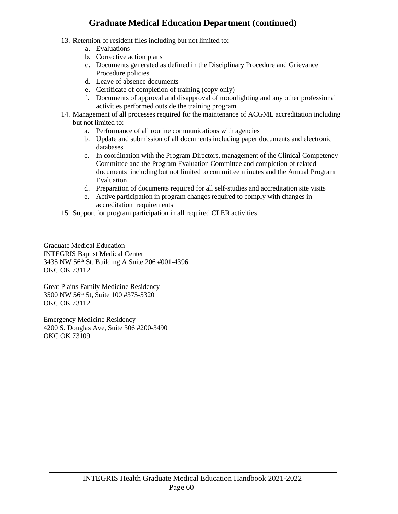## **Graduate Medical Education Department (continued)**

- 13. Retention of resident files including but not limited to:
	- a. Evaluations
	- b. Corrective action plans
	- c. Documents generated as defined in the Disciplinary Procedure and Grievance Procedure policies
	- d. Leave of absence documents
	- e. Certificate of completion of training (copy only)
	- f. Documents of approval and disapproval of moonlighting and any other professional activities performed outside the training program
- 14. Management of all processes required for the maintenance of ACGME accreditation including but not limited to:
	- a. Performance of all routine communications with agencies
	- b. Update and submission of all documents including paper documents and electronic databases
	- c. In coordination with the Program Directors, management of the Clinical Competency Committee and the Program Evaluation Committee and completion of related documents including but not limited to committee minutes and the Annual Program Evaluation
	- d. Preparation of documents required for all self-studies and accreditation site visits
	- e. Active participation in program changes required to comply with changes in accreditation requirements
- 15. Support for program participation in all required CLER activities

Graduate Medical Education INTEGRIS Baptist Medical Center 3435 NW 56th St, Building A Suite 206 #001-4396 OKC OK 73112

Great Plains Family Medicine Residency 3500 NW 56th St, Suite 100 #375-5320 OKC OK 73112

Emergency Medicine Residency 4200 S. Douglas Ave, Suite 306 #200-3490 OKC OK 73109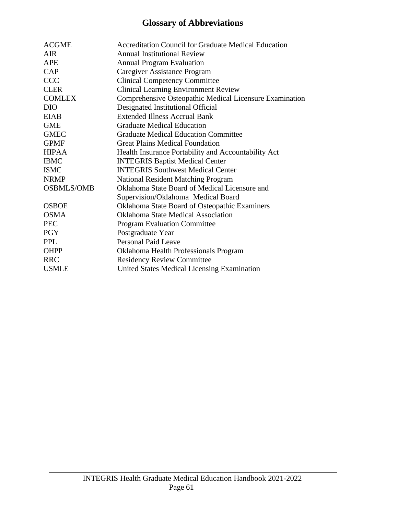## **Glossary of Abbreviations**

| <b>ACGME</b>      | <b>Accreditation Council for Graduate Medical Education</b> |
|-------------------|-------------------------------------------------------------|
| AIR.              | <b>Annual Institutional Review</b>                          |
| <b>APE</b>        | <b>Annual Program Evaluation</b>                            |
| CAP               | Caregiver Assistance Program                                |
| <b>CCC</b>        | <b>Clinical Competency Committee</b>                        |
| <b>CLER</b>       | <b>Clinical Learning Environment Review</b>                 |
| <b>COMLEX</b>     | Comprehensive Osteopathic Medical Licensure Examination     |
| <b>DIO</b>        | Designated Institutional Official                           |
| <b>EIAB</b>       | <b>Extended Illness Accrual Bank</b>                        |
| <b>GME</b>        | <b>Graduate Medical Education</b>                           |
| <b>GMEC</b>       | <b>Graduate Medical Education Committee</b>                 |
| <b>GPMF</b>       | <b>Great Plains Medical Foundation</b>                      |
| <b>HIPAA</b>      | Health Insurance Portability and Accountability Act         |
| <b>IBMC</b>       | <b>INTEGRIS Baptist Medical Center</b>                      |
| <b>ISMC</b>       | <b>INTEGRIS Southwest Medical Center</b>                    |
| <b>NRMP</b>       | <b>National Resident Matching Program</b>                   |
| <b>OSBMLS/OMB</b> | Oklahoma State Board of Medical Licensure and               |
|                   | Supervision/Oklahoma Medical Board                          |
| <b>OSBOE</b>      | Oklahoma State Board of Osteopathic Examiners               |
| <b>OSMA</b>       | <b>Oklahoma State Medical Association</b>                   |
| <b>PEC</b>        | <b>Program Evaluation Committee</b>                         |
| <b>PGY</b>        | Postgraduate Year                                           |
| <b>PPL</b>        | <b>Personal Paid Leave</b>                                  |
| <b>OHPP</b>       | Oklahoma Health Professionals Program                       |
| <b>RRC</b>        | <b>Residency Review Committee</b>                           |
| <b>USMLE</b>      | <b>United States Medical Licensing Examination</b>          |
|                   |                                                             |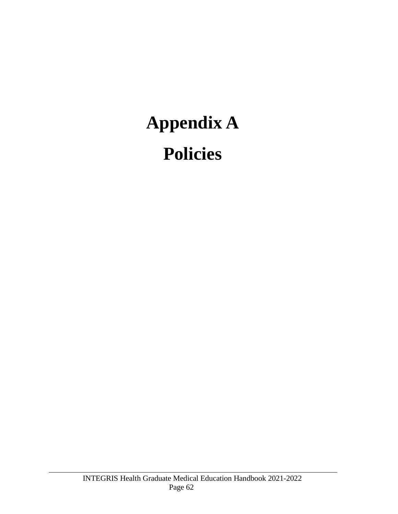## **Appendix A Policies**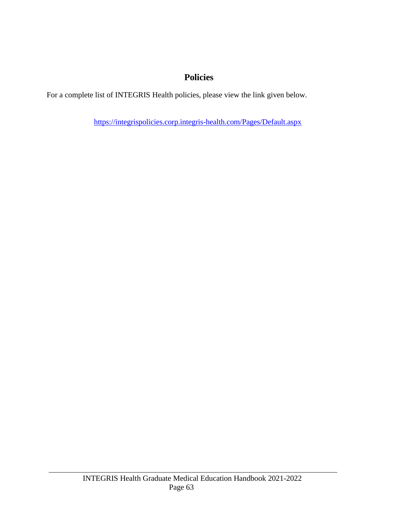## **Policies**

For a complete list of INTEGRIS Health policies, please view the link given below.

<https://integrispolicies.corp.integris-health.com/Pages/Default.aspx>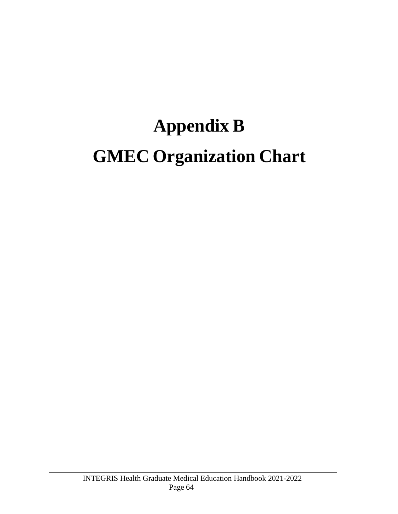## **Appendix B GMEC Organization Chart**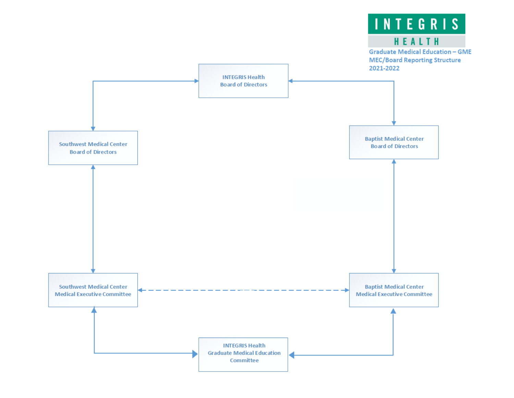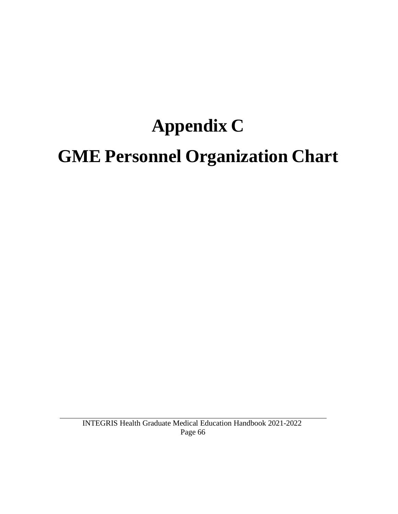## **Appendix C GME Personnel Organization Chart**

INTEGRIS Health Graduate Medical Education Handbook 2021-2022 Page 66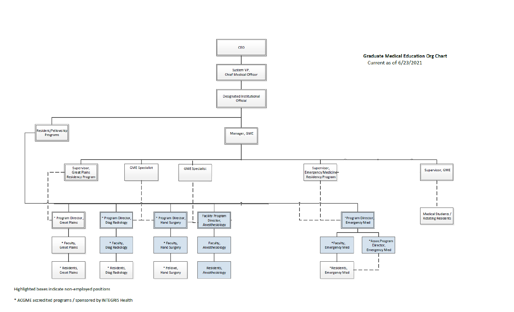

Highlighted boxes indicate non-employed positions

\* ACGME accredited programs / sponsored by INTEGRIS Health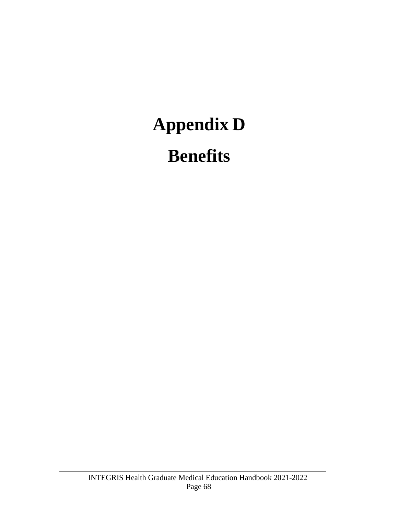# **Appendix D**

## **Benefits**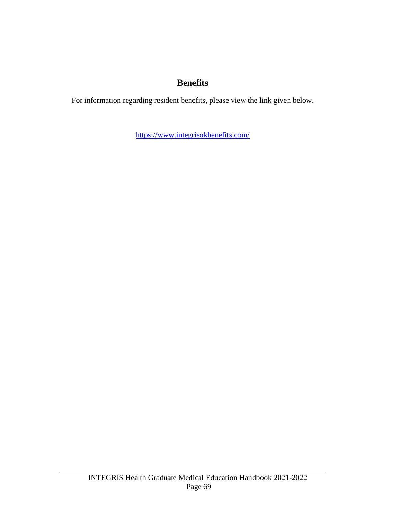### **Benefits**

For information regarding resident benefits, please view the link given below.

<https://www.integrisokbenefits.com/>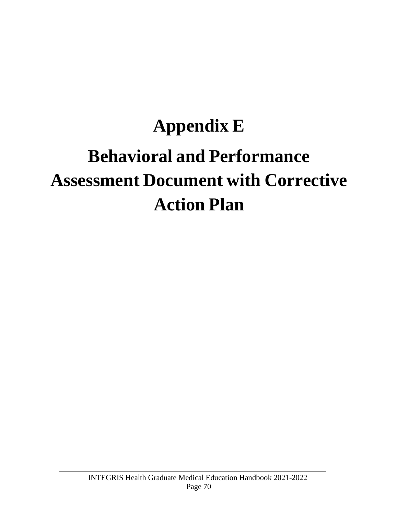## **Appendix E Behavioral and Performance Assessment Document with Corrective Action Plan**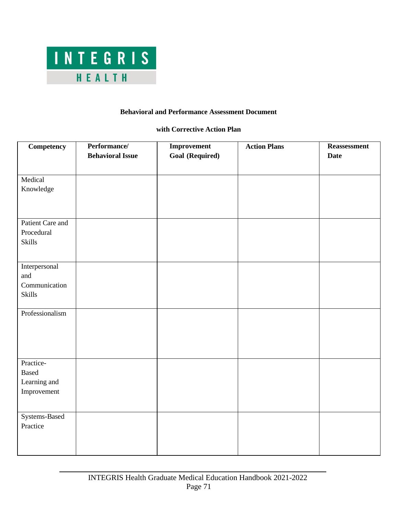

#### **Behavioral and Performance Assessment Document**

#### **with Corrective Action Plan**

| <b>Competency</b>                                        | Performance/<br><b>Behavioral Issue</b> | Improvement<br><b>Goal (Required)</b> | <b>Action Plans</b> | Reassessment<br><b>Date</b> |
|----------------------------------------------------------|-----------------------------------------|---------------------------------------|---------------------|-----------------------------|
| Medical<br>Knowledge                                     |                                         |                                       |                     |                             |
| Patient Care and<br>Procedural<br><b>Skills</b>          |                                         |                                       |                     |                             |
| Interpersonal<br>and<br>Communication<br><b>Skills</b>   |                                         |                                       |                     |                             |
| Professionalism                                          |                                         |                                       |                     |                             |
| Practice-<br><b>Based</b><br>Learning and<br>Improvement |                                         |                                       |                     |                             |
| Systems-Based<br>Practice                                |                                         |                                       |                     |                             |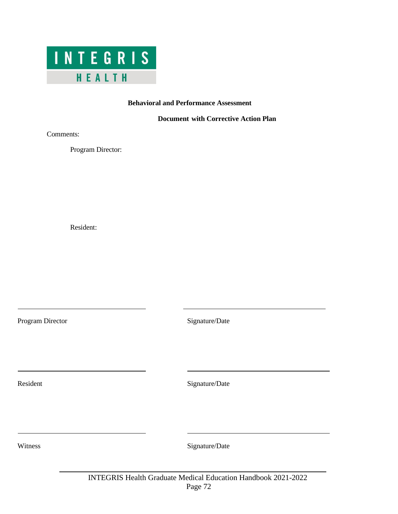

#### **Behavioral and Performance Assessment**

#### **Document with Corrective Action Plan**

Comments:

Program Director:

Resident:

Program Director Signature/Date

Resident Signature/Date

Witness Signature/Date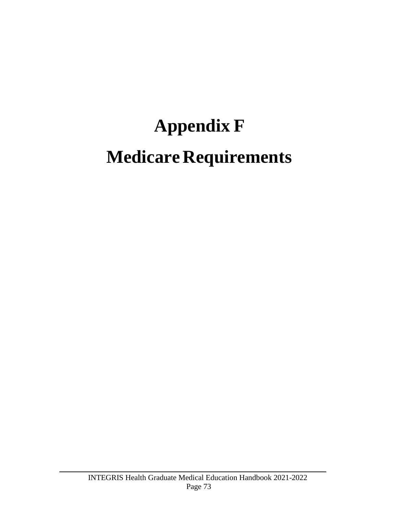# **Appendix F Medicare Requirements**